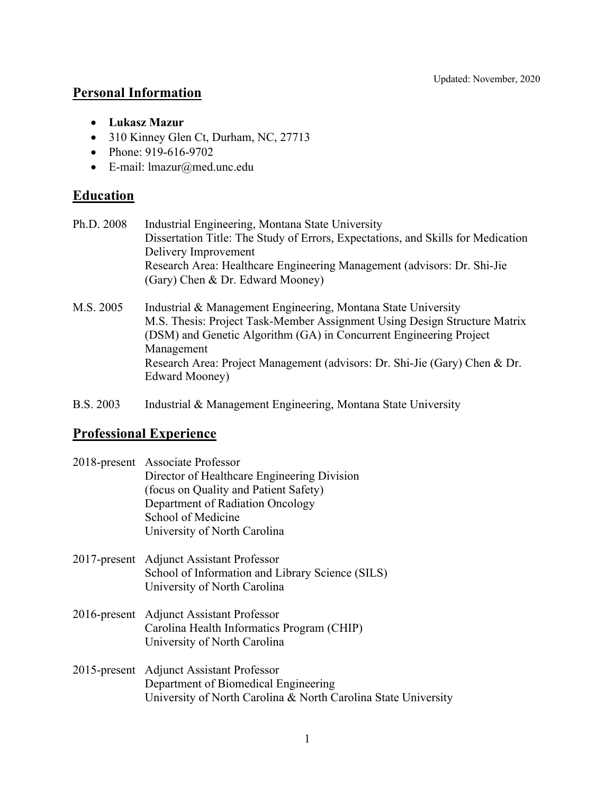# **Personal Information**

- **Lukasz Mazur**
- 310 Kinney Glen Ct, Durham, NC, 27713
- Phone: 919-616-9702
- E-mail: lmazur@med.unc.edu

# **Education**

| Ph.D. 2008 | Industrial Engineering, Montana State University                                 |
|------------|----------------------------------------------------------------------------------|
|            | Dissertation Title: The Study of Errors, Expectations, and Skills for Medication |
|            | Delivery Improvement                                                             |
|            | Research Area: Healthcare Engineering Management (advisors: Dr. Shi-Jie          |
|            | (Gary) Chen & Dr. Edward Mooney)                                                 |
| M.S. 2005  | Industrial & Management Engineering, Montana State University                    |
|            | M.S. Thesis: Project Task-Member Assignment Using Design Structure Matrix        |
|            | (DSM) and Genetic Algorithm (GA) in Concurrent Engineering Project               |
|            | Management                                                                       |

Research Area: Project Management (advisors: Dr. Shi-Jie (Gary) Chen & Dr. Edward Mooney)

B.S. 2003 Industrial & Management Engineering, Montana State University

# **Professional Experience**

| 2018-present Associate Professor<br>Director of Healthcare Engineering Division<br>(focus on Quality and Patient Safety)<br>Department of Radiation Oncology<br>School of Medicine<br>University of North Carolina |
|--------------------------------------------------------------------------------------------------------------------------------------------------------------------------------------------------------------------|
| 2017-present Adjunct Assistant Professor<br>School of Information and Library Science (SILS)<br>University of North Carolina                                                                                       |
| 2016-present Adjunct Assistant Professor<br>Carolina Health Informatics Program (CHIP)<br>University of North Carolina                                                                                             |
| 2015-present Adjunct Assistant Professor                                                                                                                                                                           |

2015-present Adjunct Assistant Professor Department of Biomedical Engineering University of North Carolina & North Carolina State University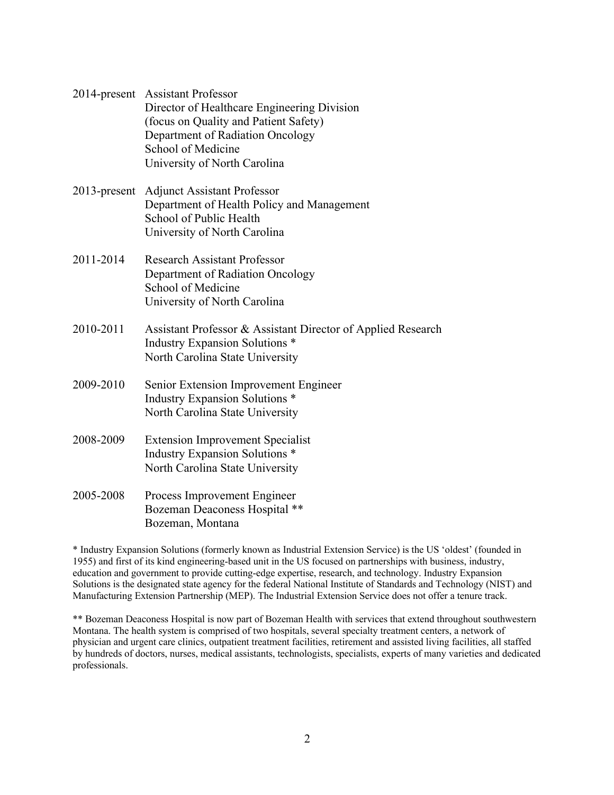| 2014-present Assistant Professor            |
|---------------------------------------------|
| Director of Healthcare Engineering Division |
| (focus on Quality and Patient Safety)       |
| Department of Radiation Oncology            |
| School of Medicine                          |
| University of North Carolina                |

- 2013-present Adjunct Assistant Professor Department of Health Policy and Management School of Public Health University of North Carolina
- 2011-2014 Research Assistant Professor Department of Radiation Oncology School of Medicine University of North Carolina
- 2010-2011 Assistant Professor & Assistant Director of Applied Research Industry Expansion Solutions \* North Carolina State University
- 2009-2010 Senior Extension Improvement Engineer Industry Expansion Solutions \* North Carolina State University
- 2008-2009 Extension Improvement Specialist Industry Expansion Solutions \* North Carolina State University
- 2005-2008 Process Improvement Engineer Bozeman Deaconess Hospital \*\* Bozeman, Montana

\* Industry Expansion Solutions (formerly known as Industrial Extension Service) is the US 'oldest' (founded in 1955) and first of its kind engineering-based unit in the US focused on partnerships with business, industry, education and government to provide cutting-edge expertise, research, and technology. Industry Expansion Solutions is the designated state agency for the federal National Institute of Standards and Technology (NIST) and Manufacturing Extension Partnership (MEP). The Industrial Extension Service does not offer a tenure track.

\*\* Bozeman Deaconess Hospital is now part of Bozeman Health with services that extend throughout southwestern Montana. The health system is comprised of two hospitals, several specialty treatment centers, a network of physician and urgent care clinics, outpatient treatment facilities, retirement and assisted living facilities, all staffed by hundreds of doctors, nurses, medical assistants, technologists, specialists, experts of many varieties and dedicated professionals.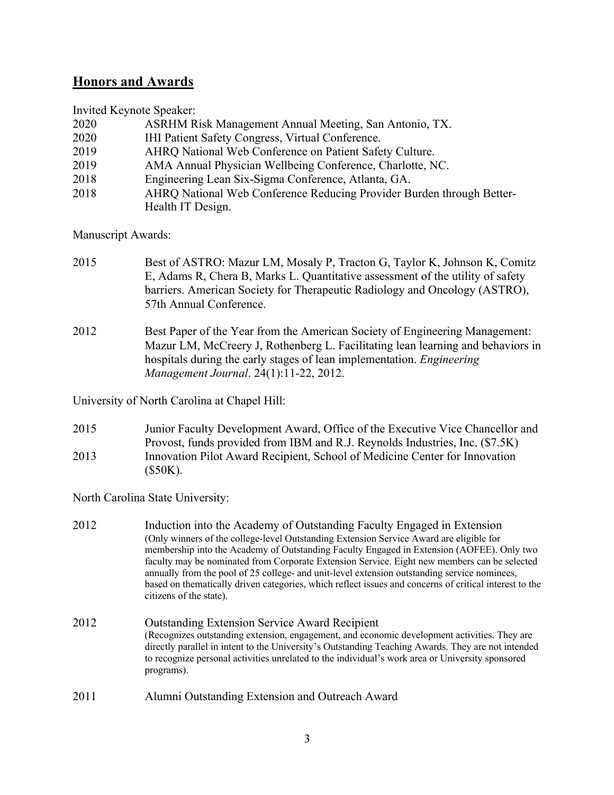# **Honors and Awards**

Invited Keynote Speaker:

| ASRHM Risk Management Annual Meeting, San Antonio, TX.                |
|-----------------------------------------------------------------------|
| IHI Patient Safety Congress, Virtual Conference.                      |
| AHRQ National Web Conference on Patient Safety Culture.               |
| AMA Annual Physician Wellbeing Conference, Charlotte, NC.             |
| Engineering Lean Six-Sigma Conference, Atlanta, GA.                   |
| AHRQ National Web Conference Reducing Provider Burden through Better- |
| Health IT Design.                                                     |
|                                                                       |

Manuscript Awards:

- 2015 Best of ASTRO: Mazur LM, Mosaly P, Tracton G, Taylor K, Johnson K, Comitz E, Adams R, Chera B, Marks L. Quantitative assessment of the utility of safety barriers. American Society for Therapeutic Radiology and Oncology (ASTRO), 57th Annual Conference.
- 2012 Best Paper of the Year from the American Society of Engineering Management: Mazur LM, McCreery J, Rothenberg L. Facilitating lean learning and behaviors in hospitals during the early stages of lean implementation. *Engineering Management Journal*. 24(1):11-22, 2012.

University of North Carolina at Chapel Hill:

2015 Junior Faculty Development Award, Office of the Executive Vice Chancellor and Provost, funds provided from IBM and R.J. Reynolds Industries, Inc. (\$7.5K) 2013 Innovation Pilot Award Recipient, School of Medicine Center for Innovation (\$50K).

North Carolina State University:

- 2012 Induction into the Academy of Outstanding Faculty Engaged in Extension (Only winners of the college-level Outstanding Extension Service Award are eligible for membership into the Academy of Outstanding Faculty Engaged in Extension (AOFEE). Only two faculty may be nominated from Corporate Extension Service. Eight new members can be selected annually from the pool of 25 college- and unit-level extension outstanding service nominees, based on thematically driven categories, which reflect issues and concerns of critical interest to the citizens of the state). 2012 Outstanding Extension Service Award Recipient (Recognizes outstanding extension, engagement, and economic development activities. They are directly parallel in intent to the University's Outstanding Teaching Awards. They are not intended to recognize personal activities unrelated to the individual's work area or University sponsored programs).
- 2011 Alumni Outstanding Extension and Outreach Award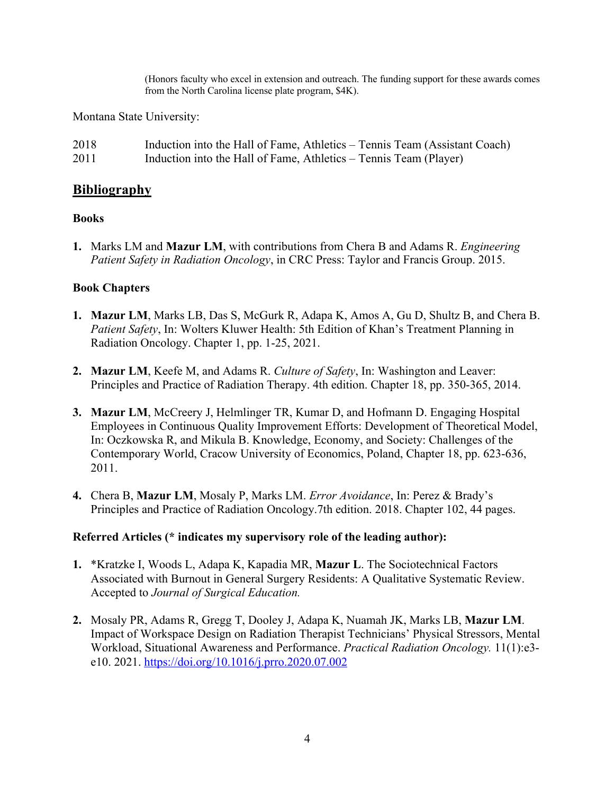(Honors faculty who excel in extension and outreach. The funding support for these awards comes from the North Carolina license plate program, \$4K).

Montana State University:

| 2018 | Induction into the Hall of Fame, Athletics – Tennis Team (Assistant Coach) |
|------|----------------------------------------------------------------------------|
| 2011 | Induction into the Hall of Fame, Athletics – Tennis Team (Player)          |

### **Bibliography**

### **Books**

**1.** Marks LM and **Mazur LM**, with contributions from Chera B and Adams R. *Engineering Patient Safety in Radiation Oncology*, in CRC Press: Taylor and Francis Group. 2015.

### **Book Chapters**

- **1. Mazur LM**, Marks LB, Das S, McGurk R, Adapa K, Amos A, Gu D, Shultz B, and Chera B. *Patient Safety*, In: Wolters Kluwer Health: 5th Edition of Khan's Treatment Planning in Radiation Oncology. Chapter 1, pp. 1-25, 2021.
- **2. Mazur LM**, Keefe M, and Adams R. *Culture of Safety*, In: Washington and Leaver: Principles and Practice of Radiation Therapy. 4th edition. Chapter 18, pp. 350-365, 2014.
- **3. Mazur LM**, McCreery J, Helmlinger TR, Kumar D, and Hofmann D. Engaging Hospital Employees in Continuous Quality Improvement Efforts: Development of Theoretical Model, In: Oczkowska R, and Mikula B. Knowledge, Economy, and Society: Challenges of the Contemporary World, Cracow University of Economics, Poland, Chapter 18, pp. 623-636, 2011.
- **4.** Chera B, **Mazur LM**, Mosaly P, Marks LM. *Error Avoidance*, In: Perez & Brady's Principles and Practice of Radiation Oncology.7th edition. 2018. Chapter 102, 44 pages.

#### **Referred Articles (\* indicates my supervisory role of the leading author):**

- **1.** \*Kratzke I, Woods L, Adapa K, Kapadia MR, **Mazur L**. The Sociotechnical Factors Associated with Burnout in General Surgery Residents: A Qualitative Systematic Review. Accepted to *Journal of Surgical Education.*
- **2.** Mosaly PR, Adams R, Gregg T, Dooley J, Adapa K, Nuamah JK, Marks LB, **Mazur LM**. Impact of Workspace Design on Radiation Therapist Technicians' Physical Stressors, Mental Workload, Situational Awareness and Performance. *Practical Radiation Oncology.* 11(1):e3 e10. 2021. https://doi.org/10.1016/j.prro.2020.07.002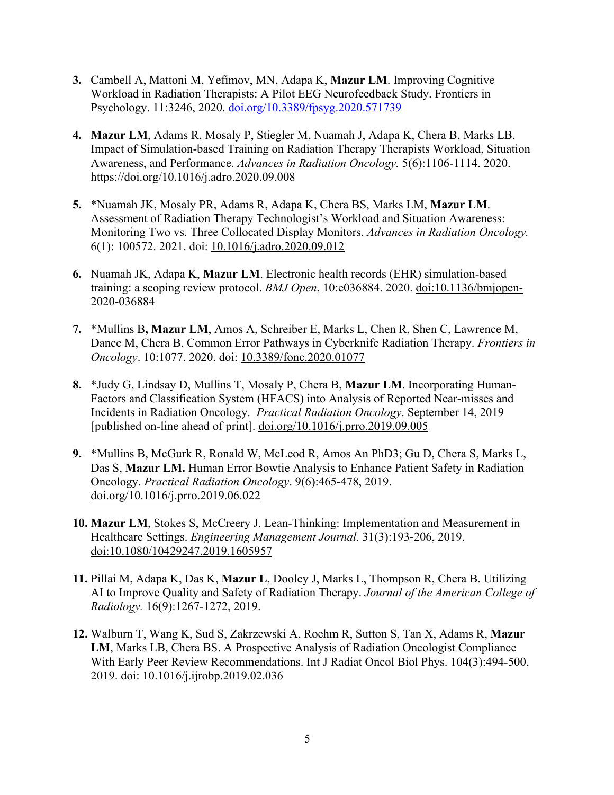- **3.** Cambell A, Mattoni M, Yefimov, MN, Adapa K, **Mazur LM**. Improving Cognitive Workload in Radiation Therapists: A Pilot EEG Neurofeedback Study. Frontiers in Psychology. 11:3246, 2020. doi.org/10.3389/fpsyg.2020.571739
- **4. Mazur LM**, Adams R, Mosaly P, Stiegler M, Nuamah J, Adapa K, Chera B, Marks LB. Impact of Simulation-based Training on Radiation Therapy Therapists Workload, Situation Awareness, and Performance. *Advances in Radiation Oncology.* 5(6):1106-1114. 2020. https://doi.org/10.1016/j.adro.2020.09.008
- **5.** \*Nuamah JK, Mosaly PR, Adams R, Adapa K, Chera BS, Marks LM, **Mazur LM**. Assessment of Radiation Therapy Technologist's Workload and Situation Awareness: Monitoring Two vs. Three Collocated Display Monitors. *Advances in Radiation Oncology.* 6(1): 100572. 2021. doi: 10.1016/j.adro.2020.09.012
- **6.** Nuamah JK, Adapa K, **Mazur LM**. Electronic health records (EHR) simulation-based training: a scoping review protocol. *BMJ Open*, 10:e036884. 2020. doi:10.1136/bmjopen-2020-036884
- **7.** \*Mullins B**, Mazur LM**, Amos A, Schreiber E, Marks L, Chen R, Shen C, Lawrence M, Dance M, Chera B. Common Error Pathways in Cyberknife Radiation Therapy. *Frontiers in Oncology*. 10:1077. 2020. doi: 10.3389/fonc.2020.01077
- **8.** \*Judy G, Lindsay D, Mullins T, Mosaly P, Chera B, **Mazur LM**. Incorporating Human-Factors and Classification System (HFACS) into Analysis of Reported Near-misses and Incidents in Radiation Oncology. *Practical Radiation Oncology*. September 14, 2019 [published on-line ahead of print]. doi.org/10.1016/j.prro.2019.09.005
- **9.** \*Mullins B, McGurk R, Ronald W, McLeod R, Amos An PhD3; Gu D, Chera S, Marks L, Das S, **Mazur LM.** Human Error Bowtie Analysis to Enhance Patient Safety in Radiation Oncology. *Practical Radiation Oncology*. 9(6):465-478, 2019. doi.org/10.1016/j.prro.2019.06.022
- **10. Mazur LM**, Stokes S, McCreery J. Lean-Thinking: Implementation and Measurement in Healthcare Settings. *Engineering Management Journal*. 31(3):193-206, 2019. doi:10.1080/10429247.2019.1605957
- **11.** Pillai M, Adapa K, Das K, **Mazur L**, Dooley J, Marks L, Thompson R, Chera B. Utilizing AI to Improve Quality and Safety of Radiation Therapy. *Journal of the American College of Radiology.* 16(9):1267-1272, 2019.
- **12.** Walburn T, Wang K, Sud S, Zakrzewski A, Roehm R, Sutton S, Tan X, Adams R, **Mazur LM**, Marks LB, Chera BS. A Prospective Analysis of Radiation Oncologist Compliance With Early Peer Review Recommendations. Int J Radiat Oncol Biol Phys. 104(3):494-500, 2019. doi: 10.1016/j.ijrobp.2019.02.036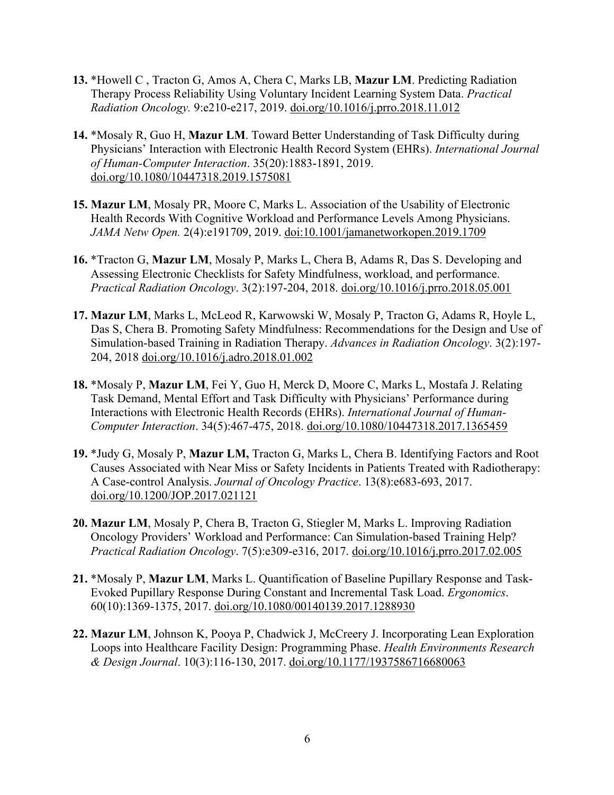- **13.** \*Howell C , Tracton G, Amos A, Chera C, Marks LB, **Mazur LM**. Predicting Radiation Therapy Process Reliability Using Voluntary Incident Learning System Data. *Practical Radiation Oncology.* 9:e210-e217, 2019. doi.org/10.1016/j.prro.2018.11.012
- **14.** \*Mosaly R, Guo H, **Mazur LM**. Toward Better Understanding of Task Difficulty during Physicians' Interaction with Electronic Health Record System (EHRs). *International Journal of Human-Computer Interaction*. 35(20):1883-1891, 2019. doi.org/10.1080/10447318.2019.1575081
- **15. Mazur LM**, Mosaly PR, Moore C, Marks L. Association of the Usability of Electronic Health Records With Cognitive Workload and Performance Levels Among Physicians. *JAMA Netw Open.* 2(4):e191709, 2019. doi:10.1001/jamanetworkopen.2019.1709
- **16.** \*Tracton G, **Mazur LM**, Mosaly P, Marks L, Chera B, Adams R, Das S. Developing and Assessing Electronic Checklists for Safety Mindfulness, workload, and performance. *Practical Radiation Oncology*. 3(2):197-204, 2018. doi.org/10.1016/j.prro.2018.05.001
- **17. Mazur LM**, Marks L, McLeod R, Karwowski W, Mosaly P, Tracton G, Adams R, Hoyle L, Das S, Chera B. Promoting Safety Mindfulness: Recommendations for the Design and Use of Simulation-based Training in Radiation Therapy. *Advances in Radiation Oncology*. 3(2):197- 204, 2018 doi.org/10.1016/j.adro.2018.01.002
- **18.** \*Mosaly P, **Mazur LM**, Fei Y, Guo H, Merck D, Moore C, Marks L, Mostafa J. Relating Task Demand, Mental Effort and Task Difficulty with Physicians' Performance during Interactions with Electronic Health Records (EHRs). *International Journal of Human-Computer Interaction*. 34(5):467-475, 2018. doi.org/10.1080/10447318.2017.1365459
- **19.** \*Judy G, Mosaly P, **Mazur LM,** Tracton G, Marks L, Chera B. Identifying Factors and Root Causes Associated with Near Miss or Safety Incidents in Patients Treated with Radiotherapy: A Case-control Analysis. *Journal of Oncology Practice*. 13(8):e683-693, 2017. doi.org/10.1200/JOP.2017.021121
- **20. Mazur LM**, Mosaly P, Chera B, Tracton G, Stiegler M, Marks L. Improving Radiation Oncology Providers' Workload and Performance: Can Simulation-based Training Help? *Practical Radiation Oncology*. 7(5):e309-e316, 2017. doi.org/10.1016/j.prro.2017.02.005
- **21.** \*Mosaly P, **Mazur LM**, Marks L. Quantification of Baseline Pupillary Response and Task-Evoked Pupillary Response During Constant and Incremental Task Load. *Ergonomics*. 60(10):1369-1375, 2017. doi.org/10.1080/00140139.2017.1288930
- **22. Mazur LM**, Johnson K, Pooya P, Chadwick J, McCreery J. Incorporating Lean Exploration Loops into Healthcare Facility Design: Programming Phase. *Health Environments Research & Design Journal*. 10(3):116-130, 2017. doi.org/10.1177/1937586716680063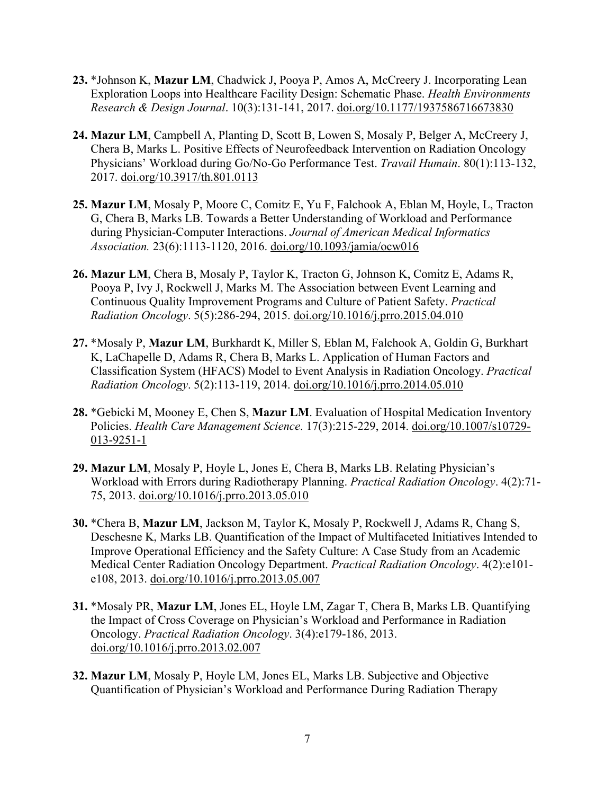- **23.** \*Johnson K, **Mazur LM**, Chadwick J, Pooya P, Amos A, McCreery J. Incorporating Lean Exploration Loops into Healthcare Facility Design: Schematic Phase. *Health Environments Research & Design Journal*. 10(3):131-141, 2017. doi.org/10.1177/1937586716673830
- **24. Mazur LM**, Campbell A, Planting D, Scott B, Lowen S, Mosaly P, Belger A, McCreery J, Chera B, Marks L. Positive Effects of Neurofeedback Intervention on Radiation Oncology Physicians' Workload during Go/No-Go Performance Test. *Travail Humain*. 80(1):113-132, 2017. doi.org/10.3917/th.801.0113
- **25. Mazur LM**, Mosaly P, Moore C, Comitz E, Yu F, Falchook A, Eblan M, Hoyle, L, Tracton G, Chera B, Marks LB. Towards a Better Understanding of Workload and Performance during Physician-Computer Interactions. *Journal of American Medical Informatics Association.* 23(6):1113-1120, 2016. doi.org/10.1093/jamia/ocw016
- **26. Mazur LM**, Chera B, Mosaly P, Taylor K, Tracton G, Johnson K, Comitz E, Adams R, Pooya P, Ivy J, Rockwell J, Marks M. The Association between Event Learning and Continuous Quality Improvement Programs and Culture of Patient Safety. *Practical Radiation Oncology*. 5(5):286-294, 2015. doi.org/10.1016/j.prro.2015.04.010
- **27.** \*Mosaly P, **Mazur LM**, Burkhardt K, Miller S, Eblan M, Falchook A, Goldin G, Burkhart K, LaChapelle D, Adams R, Chera B, Marks L. Application of Human Factors and Classification System (HFACS) Model to Event Analysis in Radiation Oncology. *Practical Radiation Oncology*. 5(2):113-119, 2014. doi.org/10.1016/j.prro.2014.05.010
- **28.** \*Gebicki M, Mooney E, Chen S, **Mazur LM**. Evaluation of Hospital Medication Inventory Policies. *Health Care Management Science*. 17(3):215-229, 2014. doi.org/10.1007/s10729- 013-9251-1
- **29. Mazur LM**, Mosaly P, Hoyle L, Jones E, Chera B, Marks LB. Relating Physician's Workload with Errors during Radiotherapy Planning. *Practical Radiation Oncology*. 4(2):71- 75, 2013. doi.org/10.1016/j.prro.2013.05.010
- **30.** \*Chera B, **Mazur LM**, Jackson M, Taylor K, Mosaly P, Rockwell J, Adams R, Chang S, Deschesne K, Marks LB. Quantification of the Impact of Multifaceted Initiatives Intended to Improve Operational Efficiency and the Safety Culture: A Case Study from an Academic Medical Center Radiation Oncology Department. *Practical Radiation Oncology*. 4(2):e101 e108, 2013. doi.org/10.1016/j.prro.2013.05.007
- **31.** \*Mosaly PR, **Mazur LM**, Jones EL, Hoyle LM, Zagar T, Chera B, Marks LB. Quantifying the Impact of Cross Coverage on Physician's Workload and Performance in Radiation Oncology. *Practical Radiation Oncology*. 3(4):e179-186, 2013. doi.org/10.1016/j.prro.2013.02.007
- **32. Mazur LM**, Mosaly P, Hoyle LM, Jones EL, Marks LB. Subjective and Objective Quantification of Physician's Workload and Performance During Radiation Therapy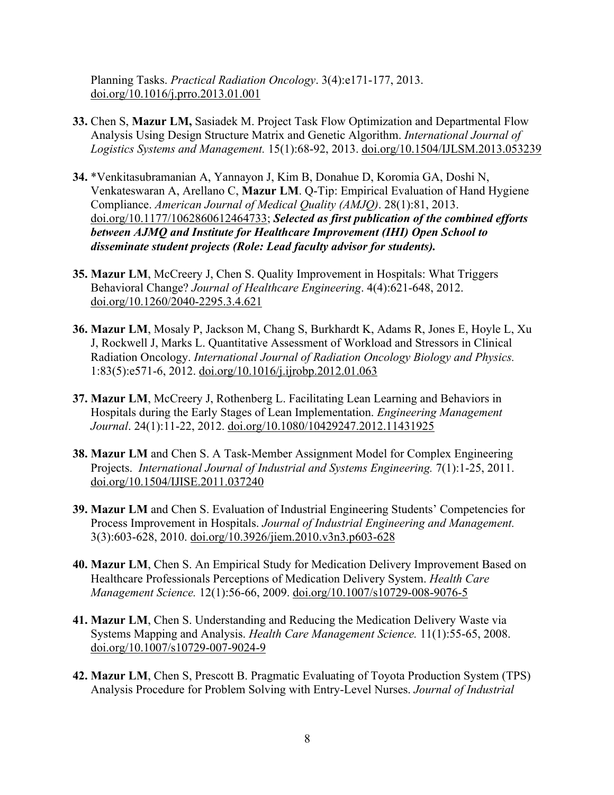Planning Tasks. *Practical Radiation Oncology*. 3(4):e171-177, 2013. doi.org/10.1016/j.prro.2013.01.001

- **33.** Chen S, **Mazur LM,** Sasiadek M. Project Task Flow Optimization and Departmental Flow Analysis Using Design Structure Matrix and Genetic Algorithm. *International Journal of Logistics Systems and Management.* 15(1):68-92, 2013. doi.org/10.1504/IJLSM.2013.053239
- **34.** \*Venkitasubramanian A, Yannayon J, Kim B, Donahue D, Koromia GA, Doshi N, Venkateswaran A, Arellano C, **Mazur LM**. Q-Tip: Empirical Evaluation of Hand Hygiene Compliance. *American Journal of Medical Quality (AMJQ)*. 28(1):81, 2013. doi.org/10.1177/1062860612464733; *Selected as first publication of the combined efforts between AJMQ and Institute for Healthcare Improvement (IHI) Open School to disseminate student projects (Role: Lead faculty advisor for students).*
- **35. Mazur LM**, McCreery J, Chen S. Quality Improvement in Hospitals: What Triggers Behavioral Change? *Journal of Healthcare Engineering*. 4(4):621-648, 2012. doi.org/10.1260/2040-2295.3.4.621
- **36. Mazur LM**, Mosaly P, Jackson M, Chang S, Burkhardt K, Adams R, Jones E, Hoyle L, Xu J, Rockwell J, Marks L. Quantitative Assessment of Workload and Stressors in Clinical Radiation Oncology. *International Journal of Radiation Oncology Biology and Physics.* 1:83(5):e571-6, 2012. doi.org/10.1016/j.ijrobp.2012.01.063
- **37. Mazur LM**, McCreery J, Rothenberg L. Facilitating Lean Learning and Behaviors in Hospitals during the Early Stages of Lean Implementation. *Engineering Management Journal*. 24(1):11-22, 2012. doi.org/10.1080/10429247.2012.11431925
- **38. Mazur LM** and Chen S. A Task-Member Assignment Model for Complex Engineering Projects. *International Journal of Industrial and Systems Engineering.* 7(1):1-25, 2011. doi.org/10.1504/IJISE.2011.037240
- **39. Mazur LM** and Chen S. Evaluation of Industrial Engineering Students' Competencies for Process Improvement in Hospitals. *Journal of Industrial Engineering and Management.* 3(3):603-628, 2010. doi.org/10.3926/jiem.2010.v3n3.p603-628
- **40. Mazur LM**, Chen S. An Empirical Study for Medication Delivery Improvement Based on Healthcare Professionals Perceptions of Medication Delivery System. *Health Care Management Science.* 12(1):56-66, 2009. doi.org/10.1007/s10729-008-9076-5
- **41. Mazur LM**, Chen S. Understanding and Reducing the Medication Delivery Waste via Systems Mapping and Analysis. *Health Care Management Science.* 11(1):55-65, 2008. doi.org/10.1007/s10729-007-9024-9
- **42. Mazur LM**, Chen S, Prescott B. Pragmatic Evaluating of Toyota Production System (TPS) Analysis Procedure for Problem Solving with Entry-Level Nurses. *Journal of Industrial*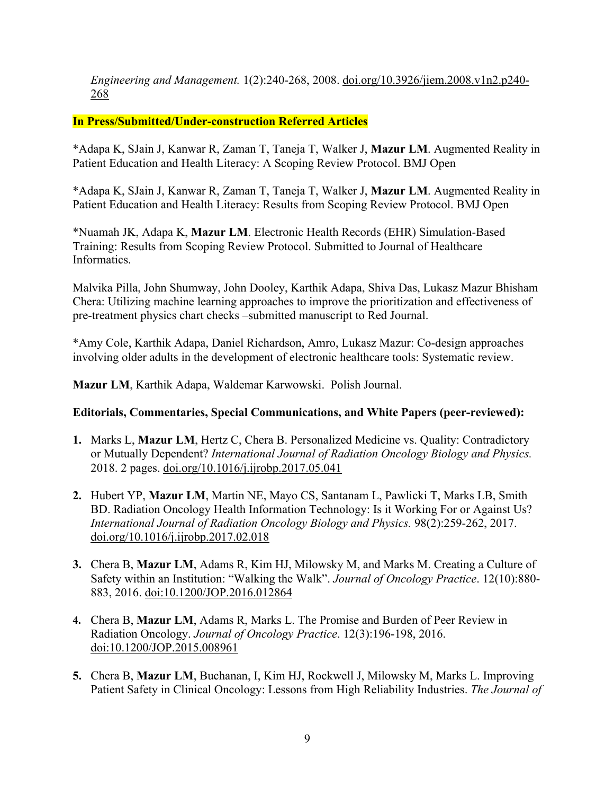*Engineering and Management.* 1(2):240-268, 2008. doi.org/10.3926/jiem.2008.v1n2.p240- 268

### **In Press/Submitted/Under-construction Referred Articles**

\*Adapa K, SJain J, Kanwar R, Zaman T, Taneja T, Walker J, **Mazur LM**. Augmented Reality in Patient Education and Health Literacy: A Scoping Review Protocol. BMJ Open

\*Adapa K, SJain J, Kanwar R, Zaman T, Taneja T, Walker J, **Mazur LM**. Augmented Reality in Patient Education and Health Literacy: Results from Scoping Review Protocol. BMJ Open

\*Nuamah JK, Adapa K, **Mazur LM**. Electronic Health Records (EHR) Simulation-Based Training: Results from Scoping Review Protocol. Submitted to Journal of Healthcare Informatics.

Malvika Pilla, John Shumway, John Dooley, Karthik Adapa, Shiva Das, Lukasz Mazur Bhisham Chera: Utilizing machine learning approaches to improve the prioritization and effectiveness of pre-treatment physics chart checks –submitted manuscript to Red Journal.

\*Amy Cole, Karthik Adapa, Daniel Richardson, Amro, Lukasz Mazur: Co-design approaches involving older adults in the development of electronic healthcare tools: Systematic review.

**Mazur LM**, Karthik Adapa, Waldemar Karwowski. Polish Journal.

#### **Editorials, Commentaries, Special Communications, and White Papers (peer-reviewed):**

- **1.** Marks L, **Mazur LM**, Hertz C, Chera B. Personalized Medicine vs. Quality: Contradictory or Mutually Dependent? *International Journal of Radiation Oncology Biology and Physics.*  2018. 2 pages. doi.org/10.1016/j.ijrobp.2017.05.041
- **2.** Hubert YP, **Mazur LM**, Martin NE, Mayo CS, Santanam L, Pawlicki T, Marks LB, Smith BD. Radiation Oncology Health Information Technology: Is it Working For or Against Us? *International Journal of Radiation Oncology Biology and Physics.* 98(2):259-262, 2017. doi.org/10.1016/j.ijrobp.2017.02.018
- **3.** Chera B, **Mazur LM**, Adams R, Kim HJ, Milowsky M, and Marks M. Creating a Culture of Safety within an Institution: "Walking the Walk". *Journal of Oncology Practice*. 12(10):880- 883, 2016. doi:10.1200/JOP.2016.012864
- **4.** Chera B, **Mazur LM**, Adams R, Marks L. The Promise and Burden of Peer Review in Radiation Oncology. *Journal of Oncology Practice*. 12(3):196-198, 2016. doi:10.1200/JOP.2015.008961
- **5.** Chera B, **Mazur LM**, Buchanan, I, Kim HJ, Rockwell J, Milowsky M, Marks L. Improving Patient Safety in Clinical Oncology: Lessons from High Reliability Industries. *The Journal of*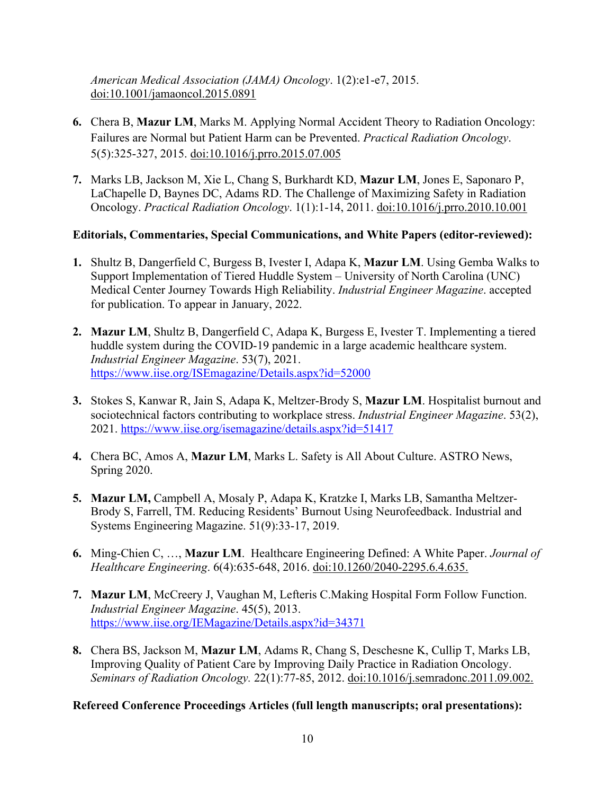*American Medical Association (JAMA) Oncology*. 1(2):e1-e7, 2015. doi:10.1001/jamaoncol.2015.0891

- **6.** Chera B, **Mazur LM**, Marks M. Applying Normal Accident Theory to Radiation Oncology: Failures are Normal but Patient Harm can be Prevented. *Practical Radiation Oncology*. 5(5):325-327, 2015. doi:10.1016/j.prro.2015.07.005
- **7.** Marks LB, Jackson M, Xie L, Chang S, Burkhardt KD, **Mazur LM**, Jones E, Saponaro P, LaChapelle D, Baynes DC, Adams RD. The Challenge of Maximizing Safety in Radiation Oncology. *Practical Radiation Oncology*. 1(1):1-14, 2011. doi:10.1016/j.prro.2010.10.001

### **Editorials, Commentaries, Special Communications, and White Papers (editor-reviewed):**

- **1.** Shultz B, Dangerfield C, Burgess B, Ivester I, Adapa K, **Mazur LM**. Using Gemba Walks to Support Implementation of Tiered Huddle System – University of North Carolina (UNC) Medical Center Journey Towards High Reliability. *Industrial Engineer Magazine*. accepted for publication. To appear in January, 2022.
- **2. Mazur LM**, Shultz B, Dangerfield C, Adapa K, Burgess E, Ivester T. Implementing a tiered huddle system during the COVID-19 pandemic in a large academic healthcare system. *Industrial Engineer Magazine*. 53(7), 2021. https://www.iise.org/ISEmagazine/Details.aspx?id=52000
- **3.** Stokes S, Kanwar R, Jain S, Adapa K, Meltzer-Brody S, **Mazur LM**. Hospitalist burnout and sociotechnical factors contributing to workplace stress. *Industrial Engineer Magazine*. 53(2), 2021. https://www.iise.org/isemagazine/details.aspx?id=51417
- **4.** Chera BC, Amos A, **Mazur LM**, Marks L. Safety is All About Culture. ASTRO News, Spring 2020.
- **5. Mazur LM,** Campbell A, Mosaly P, Adapa K, Kratzke I, Marks LB, Samantha Meltzer-Brody S, Farrell, TM. Reducing Residents' Burnout Using Neurofeedback. Industrial and Systems Engineering Magazine. 51(9):33-17, 2019.
- **6.** Ming-Chien C, …, **Mazur LM**. Healthcare Engineering Defined: A White Paper. *Journal of Healthcare Engineering*. 6(4):635-648, 2016. doi:10.1260/2040-2295.6.4.635.
- **7. Mazur LM**, McCreery J, Vaughan M, Lefteris C.Making Hospital Form Follow Function. *Industrial Engineer Magazine*. 45(5), 2013. https://www.iise.org/IEMagazine/Details.aspx?id=34371
- **8.** Chera BS, Jackson M, **Mazur LM**, Adams R, Chang S, Deschesne K, Cullip T, Marks LB, Improving Quality of Patient Care by Improving Daily Practice in Radiation Oncology. *Seminars of Radiation Oncology.* 22(1):77-85, 2012. doi:10.1016/j.semradonc.2011.09.002.

### **Refereed Conference Proceedings Articles (full length manuscripts; oral presentations):**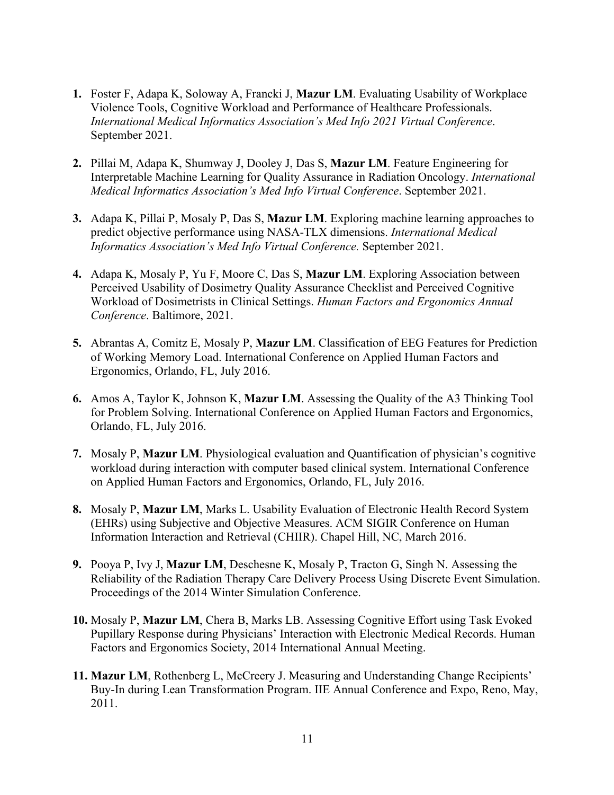- **1.** Foster F, Adapa K, Soloway A, Francki J, **Mazur LM**. Evaluating Usability of Workplace Violence Tools, Cognitive Workload and Performance of Healthcare Professionals. *International Medical Informatics Association's Med Info 2021 Virtual Conference*. September 2021.
- **2.** Pillai M, Adapa K, Shumway J, Dooley J, Das S, **Mazur LM**. Feature Engineering for Interpretable Machine Learning for Quality Assurance in Radiation Oncology. *International Medical Informatics Association's Med Info Virtual Conference*. September 2021.
- **3.** Adapa K, Pillai P, Mosaly P, Das S, **Mazur LM**. Exploring machine learning approaches to predict objective performance using NASA-TLX dimensions. *International Medical Informatics Association's Med Info Virtual Conference.* September 2021.
- **4.** Adapa K, Mosaly P, Yu F, Moore C, Das S, **Mazur LM**. Exploring Association between Perceived Usability of Dosimetry Quality Assurance Checklist and Perceived Cognitive Workload of Dosimetrists in Clinical Settings. *Human Factors and Ergonomics Annual Conference*. Baltimore, 2021.
- **5.** Abrantas A, Comitz E, Mosaly P, **Mazur LM**. Classification of EEG Features for Prediction of Working Memory Load. International Conference on Applied Human Factors and Ergonomics, Orlando, FL, July 2016.
- **6.** Amos A, Taylor K, Johnson K, **Mazur LM**. Assessing the Quality of the A3 Thinking Tool for Problem Solving. International Conference on Applied Human Factors and Ergonomics, Orlando, FL, July 2016.
- **7.** Mosaly P, **Mazur LM**. Physiological evaluation and Quantification of physician's cognitive workload during interaction with computer based clinical system. International Conference on Applied Human Factors and Ergonomics, Orlando, FL, July 2016.
- **8.** Mosaly P, **Mazur LM**, Marks L. Usability Evaluation of Electronic Health Record System (EHRs) using Subjective and Objective Measures. ACM SIGIR Conference on Human Information Interaction and Retrieval (CHIIR). Chapel Hill, NC, March 2016.
- **9.** Pooya P, Ivy J, **Mazur LM**, Deschesne K, Mosaly P, Tracton G, Singh N. Assessing the Reliability of the Radiation Therapy Care Delivery Process Using Discrete Event Simulation. Proceedings of the 2014 Winter Simulation Conference.
- **10.** Mosaly P, **Mazur LM**, Chera B, Marks LB. Assessing Cognitive Effort using Task Evoked Pupillary Response during Physicians' Interaction with Electronic Medical Records. Human Factors and Ergonomics Society, 2014 International Annual Meeting.
- **11. Mazur LM**, Rothenberg L, McCreery J. Measuring and Understanding Change Recipients' Buy-In during Lean Transformation Program. IIE Annual Conference and Expo, Reno, May, 2011.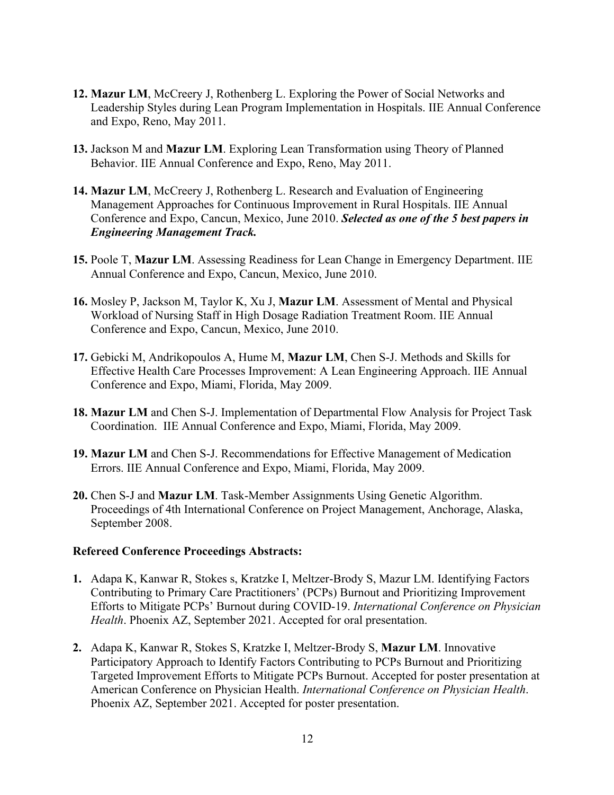- **12. Mazur LM**, McCreery J, Rothenberg L. Exploring the Power of Social Networks and Leadership Styles during Lean Program Implementation in Hospitals. IIE Annual Conference and Expo, Reno, May 2011.
- **13.** Jackson M and **Mazur LM**. Exploring Lean Transformation using Theory of Planned Behavior. IIE Annual Conference and Expo, Reno, May 2011.
- **14. Mazur LM**, McCreery J, Rothenberg L. Research and Evaluation of Engineering Management Approaches for Continuous Improvement in Rural Hospitals. IIE Annual Conference and Expo, Cancun, Mexico, June 2010. *Selected as one of the 5 best papers in Engineering Management Track.*
- **15.** Poole T, **Mazur LM**. Assessing Readiness for Lean Change in Emergency Department. IIE Annual Conference and Expo, Cancun, Mexico, June 2010.
- **16.** Mosley P, Jackson M, Taylor K, Xu J, **Mazur LM**. Assessment of Mental and Physical Workload of Nursing Staff in High Dosage Radiation Treatment Room. IIE Annual Conference and Expo, Cancun, Mexico, June 2010.
- **17.** Gebicki M, Andrikopoulos A, Hume M, **Mazur LM**, Chen S-J. Methods and Skills for Effective Health Care Processes Improvement: A Lean Engineering Approach. IIE Annual Conference and Expo, Miami, Florida, May 2009.
- **18. Mazur LM** and Chen S-J. Implementation of Departmental Flow Analysis for Project Task Coordination. IIE Annual Conference and Expo, Miami, Florida, May 2009.
- **19. Mazur LM** and Chen S-J. Recommendations for Effective Management of Medication Errors. IIE Annual Conference and Expo, Miami, Florida, May 2009.
- **20.** Chen S-J and **Mazur LM**. Task-Member Assignments Using Genetic Algorithm. Proceedings of 4th International Conference on Project Management, Anchorage, Alaska, September 2008.

#### **Refereed Conference Proceedings Abstracts:**

- **1.** Adapa K, Kanwar R, Stokes s, Kratzke I, Meltzer-Brody S, Mazur LM. Identifying Factors Contributing to Primary Care Practitioners' (PCPs) Burnout and Prioritizing Improvement Efforts to Mitigate PCPs' Burnout during COVID-19. *International Conference on Physician Health*. Phoenix AZ, September 2021. Accepted for oral presentation.
- **2.** Adapa K, Kanwar R, Stokes S, Kratzke I, Meltzer-Brody S, **Mazur LM**. Innovative Participatory Approach to Identify Factors Contributing to PCPs Burnout and Prioritizing Targeted Improvement Efforts to Mitigate PCPs Burnout. Accepted for poster presentation at American Conference on Physician Health. *International Conference on Physician Health*. Phoenix AZ, September 2021. Accepted for poster presentation.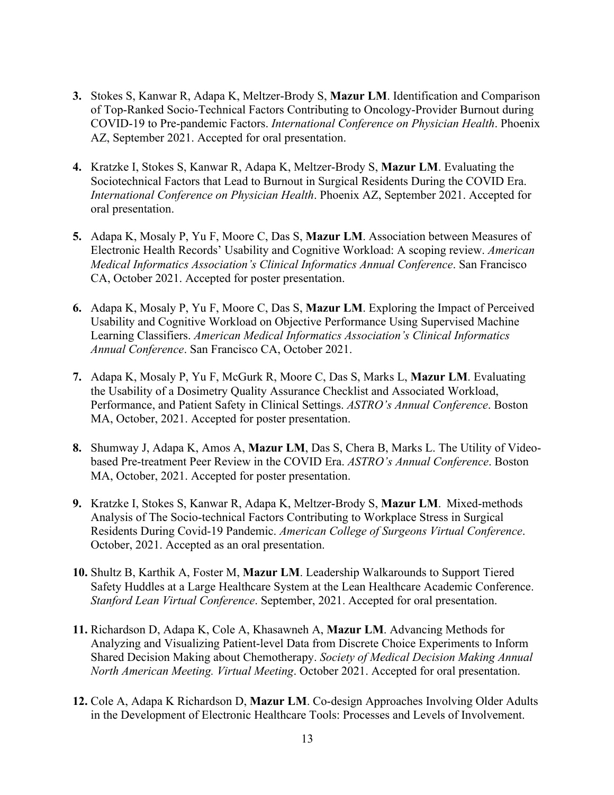- **3.** Stokes S, Kanwar R, Adapa K, Meltzer-Brody S, **Mazur LM**. Identification and Comparison of Top-Ranked Socio-Technical Factors Contributing to Oncology-Provider Burnout during COVID-19 to Pre-pandemic Factors. *International Conference on Physician Health*. Phoenix AZ, September 2021. Accepted for oral presentation.
- **4.** Kratzke I, Stokes S, Kanwar R, Adapa K, Meltzer-Brody S, **Mazur LM**. Evaluating the Sociotechnical Factors that Lead to Burnout in Surgical Residents During the COVID Era. *International Conference on Physician Health*. Phoenix AZ, September 2021. Accepted for oral presentation.
- **5.** Adapa K, Mosaly P, Yu F, Moore C, Das S, **Mazur LM**. Association between Measures of Electronic Health Records' Usability and Cognitive Workload: A scoping review. *American Medical Informatics Association's Clinical Informatics Annual Conference*. San Francisco CA, October 2021. Accepted for poster presentation.
- **6.** Adapa K, Mosaly P, Yu F, Moore C, Das S, **Mazur LM**. Exploring the Impact of Perceived Usability and Cognitive Workload on Objective Performance Using Supervised Machine Learning Classifiers. *American Medical Informatics Association's Clinical Informatics Annual Conference*. San Francisco CA, October 2021.
- **7.** Adapa K, Mosaly P, Yu F, McGurk R, Moore C, Das S, Marks L, **Mazur LM**. Evaluating the Usability of a Dosimetry Quality Assurance Checklist and Associated Workload, Performance, and Patient Safety in Clinical Settings. *ASTRO's Annual Conference*. Boston MA, October, 2021. Accepted for poster presentation.
- **8.** Shumway J, Adapa K, Amos A, **Mazur LM**, Das S, Chera B, Marks L. The Utility of Videobased Pre-treatment Peer Review in the COVID Era. *ASTRO's Annual Conference*. Boston MA, October, 2021. Accepted for poster presentation.
- **9.** Kratzke I, Stokes S, Kanwar R, Adapa K, Meltzer-Brody S, **Mazur LM**.  Mixed-methods Analysis of The Socio-technical Factors Contributing to Workplace Stress in Surgical Residents During Covid-19 Pandemic. *American College of Surgeons Virtual Conference*. October, 2021. Accepted as an oral presentation.
- **10.** Shultz B, Karthik A, Foster M, **Mazur LM**. Leadership Walkarounds to Support Tiered Safety Huddles at a Large Healthcare System at the Lean Healthcare Academic Conference. *Stanford Lean Virtual Conference*. September, 2021. Accepted for oral presentation.
- **11.** Richardson D, Adapa K, Cole A, Khasawneh A, **Mazur LM**. Advancing Methods for Analyzing and Visualizing Patient-level Data from Discrete Choice Experiments to Inform Shared Decision Making about Chemotherapy. *Society of Medical Decision Making Annual North American Meeting. Virtual Meeting*. October 2021. Accepted for oral presentation.
- **12.** Cole A, Adapa K Richardson D, **Mazur LM**. Co-design Approaches Involving Older Adults in the Development of Electronic Healthcare Tools: Processes and Levels of Involvement.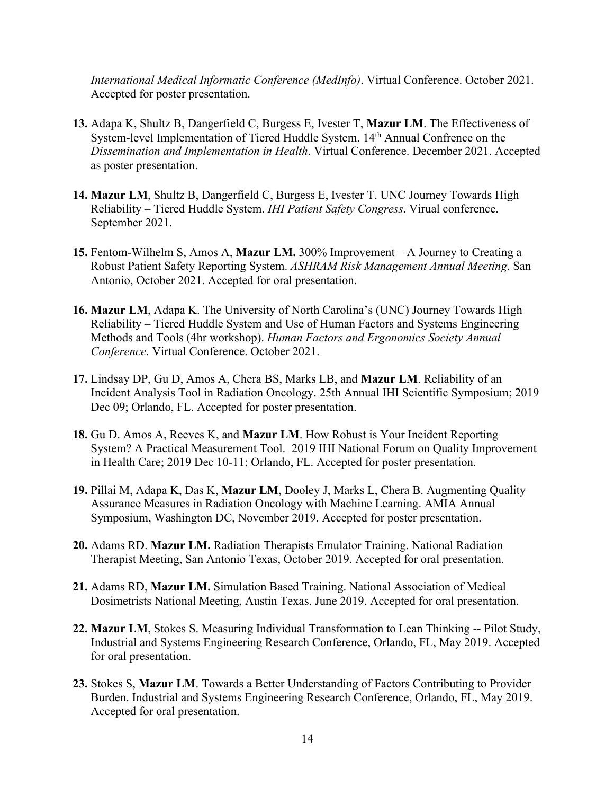*International Medical Informatic Conference (MedInfo)*. Virtual Conference. October 2021. Accepted for poster presentation.

- **13.** Adapa K, Shultz B, Dangerfield C, Burgess E, Ivester T, **Mazur LM**. The Effectiveness of System-level Implementation of Tiered Huddle System. 14<sup>th</sup> Annual Confrence on the *Dissemination and Implementation in Health*. Virtual Conference. December 2021. Accepted as poster presentation.
- **14. Mazur LM**, Shultz B, Dangerfield C, Burgess E, Ivester T. UNC Journey Towards High Reliability – Tiered Huddle System. *IHI Patient Safety Congress*. Virual conference. September 2021.
- **15.** Fentom-Wilhelm S, Amos A, **Mazur LM.** 300% Improvement A Journey to Creating a Robust Patient Safety Reporting System. *ASHRAM Risk Management Annual Meeting*. San Antonio, October 2021. Accepted for oral presentation.
- **16. Mazur LM**, Adapa K. The University of North Carolina's (UNC) Journey Towards High Reliability – Tiered Huddle System and Use of Human Factors and Systems Engineering Methods and Tools (4hr workshop). *Human Factors and Ergonomics Society Annual Conference*. Virtual Conference. October 2021.
- **17.** Lindsay DP, Gu D, Amos A, Chera BS, Marks LB, and **Mazur LM**. Reliability of an Incident Analysis Tool in Radiation Oncology. 25th Annual IHI Scientific Symposium; 2019 Dec 09; Orlando, FL. Accepted for poster presentation.
- **18.** Gu D. Amos A, Reeves K, and **Mazur LM**. How Robust is Your Incident Reporting System? A Practical Measurement Tool. 2019 IHI National Forum on Quality Improvement in Health Care; 2019 Dec 10-11; Orlando, FL. Accepted for poster presentation.
- **19.** Pillai M, Adapa K, Das K, **Mazur LM**, Dooley J, Marks L, Chera B. Augmenting Quality Assurance Measures in Radiation Oncology with Machine Learning. AMIA Annual Symposium, Washington DC, November 2019. Accepted for poster presentation.
- **20.** Adams RD. **Mazur LM.** Radiation Therapists Emulator Training. National Radiation Therapist Meeting, San Antonio Texas, October 2019. Accepted for oral presentation.
- **21.** Adams RD, **Mazur LM.** Simulation Based Training. National Association of Medical Dosimetrists National Meeting, Austin Texas. June 2019. Accepted for oral presentation.
- **22. Mazur LM**, Stokes S. Measuring Individual Transformation to Lean Thinking -- Pilot Study, Industrial and Systems Engineering Research Conference, Orlando, FL, May 2019. Accepted for oral presentation.
- **23.** Stokes S, **Mazur LM**. Towards a Better Understanding of Factors Contributing to Provider Burden. Industrial and Systems Engineering Research Conference, Orlando, FL, May 2019. Accepted for oral presentation.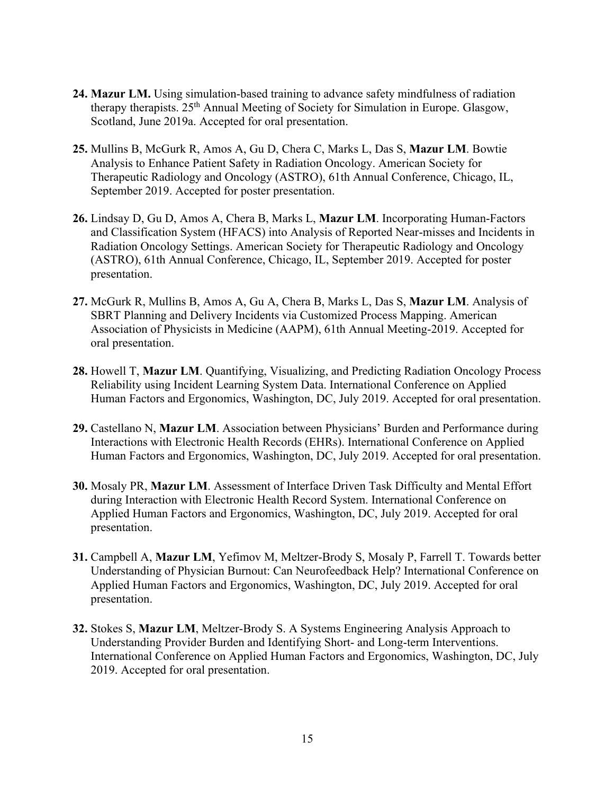- **24. Mazur LM.** Using simulation-based training to advance safety mindfulness of radiation therapy therapists. 25th Annual Meeting of Society for Simulation in Europe. Glasgow, Scotland, June 2019a. Accepted for oral presentation.
- **25.** Mullins B, McGurk R, Amos A, Gu D, Chera C, Marks L, Das S, **Mazur LM**. Bowtie Analysis to Enhance Patient Safety in Radiation Oncology. American Society for Therapeutic Radiology and Oncology (ASTRO), 61th Annual Conference, Chicago, IL, September 2019. Accepted for poster presentation.
- **26.** Lindsay D, Gu D, Amos A, Chera B, Marks L, **Mazur LM**. Incorporating Human-Factors and Classification System (HFACS) into Analysis of Reported Near-misses and Incidents in Radiation Oncology Settings. American Society for Therapeutic Radiology and Oncology (ASTRO), 61th Annual Conference, Chicago, IL, September 2019. Accepted for poster presentation.
- **27.** McGurk R, Mullins B, Amos A, Gu A, Chera B, Marks L, Das S, **Mazur LM**. Analysis of SBRT Planning and Delivery Incidents via Customized Process Mapping. American Association of Physicists in Medicine (AAPM), 61th Annual Meeting-2019. Accepted for oral presentation.
- **28.** Howell T, **Mazur LM**. Quantifying, Visualizing, and Predicting Radiation Oncology Process Reliability using Incident Learning System Data. International Conference on Applied Human Factors and Ergonomics, Washington, DC, July 2019. Accepted for oral presentation.
- **29.** Castellano N, **Mazur LM**. Association between Physicians' Burden and Performance during Interactions with Electronic Health Records (EHRs). International Conference on Applied Human Factors and Ergonomics, Washington, DC, July 2019. Accepted for oral presentation.
- **30.** Mosaly PR, **Mazur LM**. Assessment of Interface Driven Task Difficulty and Mental Effort during Interaction with Electronic Health Record System. International Conference on Applied Human Factors and Ergonomics, Washington, DC, July 2019. Accepted for oral presentation.
- **31.** Campbell A, **Mazur LM**, Yefimov M, Meltzer-Brody S, Mosaly P, Farrell T. Towards better Understanding of Physician Burnout: Can Neurofeedback Help? International Conference on Applied Human Factors and Ergonomics, Washington, DC, July 2019. Accepted for oral presentation.
- **32.** Stokes S, **Mazur LM**, Meltzer-Brody S. A Systems Engineering Analysis Approach to Understanding Provider Burden and Identifying Short- and Long-term Interventions. International Conference on Applied Human Factors and Ergonomics, Washington, DC, July 2019. Accepted for oral presentation.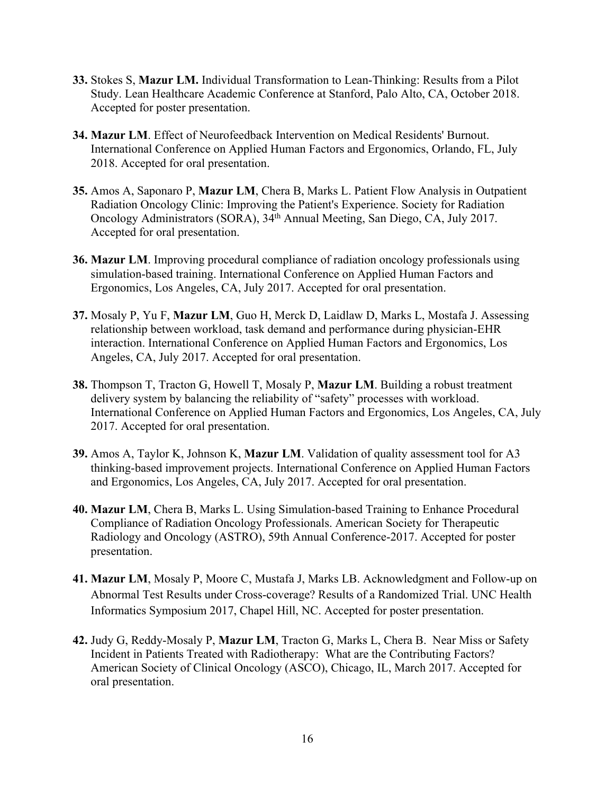- **33.** Stokes S, **Mazur LM.** Individual Transformation to Lean-Thinking: Results from a Pilot Study. Lean Healthcare Academic Conference at Stanford, Palo Alto, CA, October 2018. Accepted for poster presentation.
- **34. Mazur LM**. Effect of Neurofeedback Intervention on Medical Residents' Burnout. International Conference on Applied Human Factors and Ergonomics, Orlando, FL, July 2018. Accepted for oral presentation.
- **35.** Amos A, Saponaro P, **Mazur LM**, Chera B, Marks L. Patient Flow Analysis in Outpatient Radiation Oncology Clinic: Improving the Patient's Experience. Society for Radiation Oncology Administrators (SORA), 34th Annual Meeting, San Diego, CA, July 2017. Accepted for oral presentation.
- **36. Mazur LM**. Improving procedural compliance of radiation oncology professionals using simulation-based training. International Conference on Applied Human Factors and Ergonomics, Los Angeles, CA, July 2017. Accepted for oral presentation.
- **37.** Mosaly P, Yu F, **Mazur LM**, Guo H, Merck D, Laidlaw D, Marks L, Mostafa J. Assessing relationship between workload, task demand and performance during physician-EHR interaction. International Conference on Applied Human Factors and Ergonomics, Los Angeles, CA, July 2017. Accepted for oral presentation.
- **38.** Thompson T, Tracton G, Howell T, Mosaly P, **Mazur LM**. Building a robust treatment delivery system by balancing the reliability of "safety" processes with workload. International Conference on Applied Human Factors and Ergonomics, Los Angeles, CA, July 2017. Accepted for oral presentation.
- **39.** Amos A, Taylor K, Johnson K, **Mazur LM**. Validation of quality assessment tool for A3 thinking-based improvement projects. International Conference on Applied Human Factors and Ergonomics, Los Angeles, CA, July 2017. Accepted for oral presentation.
- **40. Mazur LM**, Chera B, Marks L. Using Simulation-based Training to Enhance Procedural Compliance of Radiation Oncology Professionals. American Society for Therapeutic Radiology and Oncology (ASTRO), 59th Annual Conference-2017. Accepted for poster presentation.
- **41. Mazur LM**, Mosaly P, Moore C, Mustafa J, Marks LB. Acknowledgment and Follow-up on Abnormal Test Results under Cross-coverage? Results of a Randomized Trial. UNC Health Informatics Symposium 2017, Chapel Hill, NC. Accepted for poster presentation.
- **42.** Judy G, Reddy-Mosaly P, **Mazur LM**, Tracton G, Marks L, Chera B. Near Miss or Safety Incident in Patients Treated with Radiotherapy: What are the Contributing Factors? American Society of Clinical Oncology (ASCO), Chicago, IL, March 2017. Accepted for oral presentation.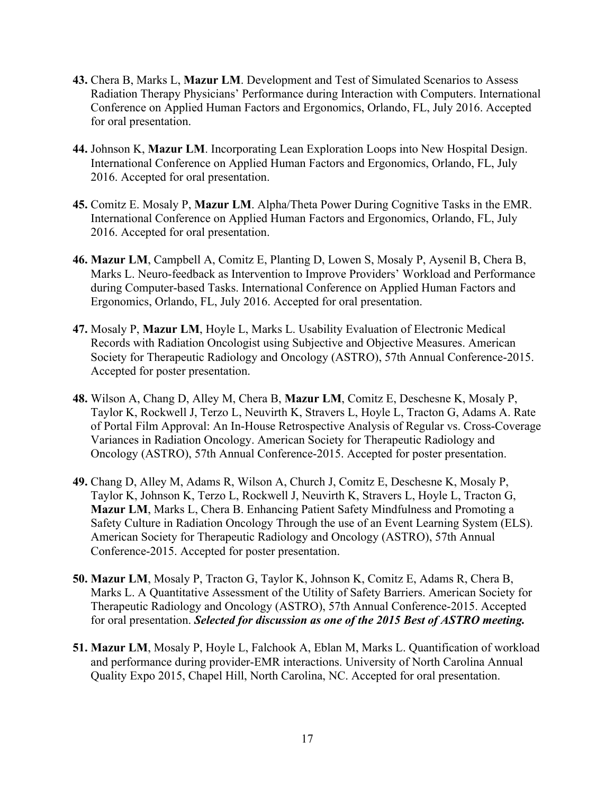- **43.** Chera B, Marks L, **Mazur LM**. Development and Test of Simulated Scenarios to Assess Radiation Therapy Physicians' Performance during Interaction with Computers. International Conference on Applied Human Factors and Ergonomics, Orlando, FL, July 2016. Accepted for oral presentation.
- **44.** Johnson K, **Mazur LM**. Incorporating Lean Exploration Loops into New Hospital Design. International Conference on Applied Human Factors and Ergonomics, Orlando, FL, July 2016. Accepted for oral presentation.
- **45.** Comitz E. Mosaly P, **Mazur LM**. Alpha/Theta Power During Cognitive Tasks in the EMR. International Conference on Applied Human Factors and Ergonomics, Orlando, FL, July 2016. Accepted for oral presentation.
- **46. Mazur LM**, Campbell A, Comitz E, Planting D, Lowen S, Mosaly P, Aysenil B, Chera B, Marks L. Neuro-feedback as Intervention to Improve Providers' Workload and Performance during Computer-based Tasks. International Conference on Applied Human Factors and Ergonomics, Orlando, FL, July 2016. Accepted for oral presentation.
- **47.** Mosaly P, **Mazur LM**, Hoyle L, Marks L. Usability Evaluation of Electronic Medical Records with Radiation Oncologist using Subjective and Objective Measures. American Society for Therapeutic Radiology and Oncology (ASTRO), 57th Annual Conference-2015. Accepted for poster presentation.
- **48.** Wilson A, Chang D, Alley M, Chera B, **Mazur LM**, Comitz E, Deschesne K, Mosaly P, Taylor K, Rockwell J, Terzo L, Neuvirth K, Stravers L, Hoyle L, Tracton G, Adams A. Rate of Portal Film Approval: An In-House Retrospective Analysis of Regular vs. Cross-Coverage Variances in Radiation Oncology. American Society for Therapeutic Radiology and Oncology (ASTRO), 57th Annual Conference-2015. Accepted for poster presentation.
- **49.** Chang D, Alley M, Adams R, Wilson A, Church J, Comitz E, Deschesne K, Mosaly P, Taylor K, Johnson K, Terzo L, Rockwell J, Neuvirth K, Stravers L, Hoyle L, Tracton G, **Mazur LM**, Marks L, Chera B. Enhancing Patient Safety Mindfulness and Promoting a Safety Culture in Radiation Oncology Through the use of an Event Learning System (ELS). American Society for Therapeutic Radiology and Oncology (ASTRO), 57th Annual Conference-2015. Accepted for poster presentation.
- **50. Mazur LM**, Mosaly P, Tracton G, Taylor K, Johnson K, Comitz E, Adams R, Chera B, Marks L. A Quantitative Assessment of the Utility of Safety Barriers. American Society for Therapeutic Radiology and Oncology (ASTRO), 57th Annual Conference-2015. Accepted for oral presentation. *Selected for discussion as one of the 2015 Best of ASTRO meeting.*
- **51. Mazur LM**, Mosaly P, Hoyle L, Falchook A, Eblan M, Marks L. Quantification of workload and performance during provider-EMR interactions. University of North Carolina Annual Quality Expo 2015, Chapel Hill, North Carolina, NC. Accepted for oral presentation.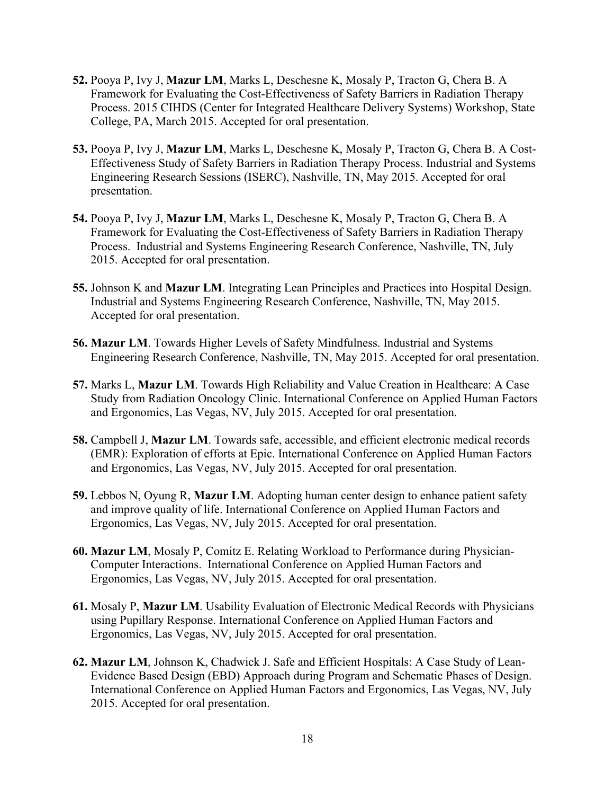- **52.** Pooya P, Ivy J, **Mazur LM**, Marks L, Deschesne K, Mosaly P, Tracton G, Chera B. A Framework for Evaluating the Cost-Effectiveness of Safety Barriers in Radiation Therapy Process. 2015 CIHDS (Center for Integrated Healthcare Delivery Systems) Workshop, State College, PA, March 2015. Accepted for oral presentation.
- **53.** Pooya P, Ivy J, **Mazur LM**, Marks L, Deschesne K, Mosaly P, Tracton G, Chera B. A Cost-Effectiveness Study of Safety Barriers in Radiation Therapy Process. Industrial and Systems Engineering Research Sessions (ISERC), Nashville, TN, May 2015. Accepted for oral presentation.
- **54.** Pooya P, Ivy J, **Mazur LM**, Marks L, Deschesne K, Mosaly P, Tracton G, Chera B. A Framework for Evaluating the Cost-Effectiveness of Safety Barriers in Radiation Therapy Process. Industrial and Systems Engineering Research Conference, Nashville, TN, July 2015. Accepted for oral presentation.
- **55.** Johnson K and **Mazur LM**. Integrating Lean Principles and Practices into Hospital Design. Industrial and Systems Engineering Research Conference, Nashville, TN, May 2015. Accepted for oral presentation.
- **56. Mazur LM**. Towards Higher Levels of Safety Mindfulness. Industrial and Systems Engineering Research Conference, Nashville, TN, May 2015. Accepted for oral presentation.
- **57.** Marks L, **Mazur LM**. Towards High Reliability and Value Creation in Healthcare: A Case Study from Radiation Oncology Clinic. International Conference on Applied Human Factors and Ergonomics, Las Vegas, NV, July 2015. Accepted for oral presentation.
- **58.** Campbell J, **Mazur LM**. Towards safe, accessible, and efficient electronic medical records (EMR): Exploration of efforts at Epic. International Conference on Applied Human Factors and Ergonomics, Las Vegas, NV, July 2015. Accepted for oral presentation.
- **59.** Lebbos N, Oyung R, **Mazur LM**. Adopting human center design to enhance patient safety and improve quality of life. International Conference on Applied Human Factors and Ergonomics, Las Vegas, NV, July 2015. Accepted for oral presentation.
- **60. Mazur LM**, Mosaly P, Comitz E. Relating Workload to Performance during Physician-Computer Interactions. International Conference on Applied Human Factors and Ergonomics, Las Vegas, NV, July 2015. Accepted for oral presentation.
- **61.** Mosaly P, **Mazur LM**. Usability Evaluation of Electronic Medical Records with Physicians using Pupillary Response. International Conference on Applied Human Factors and Ergonomics, Las Vegas, NV, July 2015. Accepted for oral presentation.
- **62. Mazur LM**, Johnson K, Chadwick J. Safe and Efficient Hospitals: A Case Study of Lean-Evidence Based Design (EBD) Approach during Program and Schematic Phases of Design. International Conference on Applied Human Factors and Ergonomics, Las Vegas, NV, July 2015. Accepted for oral presentation.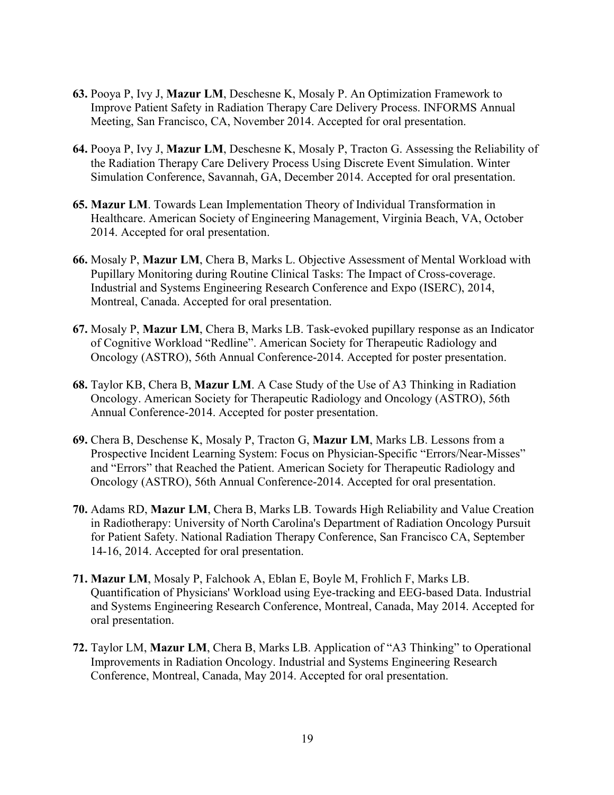- **63.** Pooya P, Ivy J, **Mazur LM**, Deschesne K, Mosaly P. An Optimization Framework to Improve Patient Safety in Radiation Therapy Care Delivery Process. INFORMS Annual Meeting, San Francisco, CA, November 2014. Accepted for oral presentation.
- **64.** Pooya P, Ivy J, **Mazur LM**, Deschesne K, Mosaly P, Tracton G. Assessing the Reliability of the Radiation Therapy Care Delivery Process Using Discrete Event Simulation. Winter Simulation Conference, Savannah, GA, December 2014. Accepted for oral presentation.
- **65. Mazur LM**. Towards Lean Implementation Theory of Individual Transformation in Healthcare. American Society of Engineering Management, Virginia Beach, VA, October 2014. Accepted for oral presentation.
- **66.** Mosaly P, **Mazur LM**, Chera B, Marks L. Objective Assessment of Mental Workload with Pupillary Monitoring during Routine Clinical Tasks: The Impact of Cross-coverage. Industrial and Systems Engineering Research Conference and Expo (ISERC), 2014, Montreal, Canada. Accepted for oral presentation.
- **67.** Mosaly P, **Mazur LM**, Chera B, Marks LB. Task-evoked pupillary response as an Indicator of Cognitive Workload "Redline". American Society for Therapeutic Radiology and Oncology (ASTRO), 56th Annual Conference-2014. Accepted for poster presentation.
- **68.** Taylor KB, Chera B, **Mazur LM**. A Case Study of the Use of A3 Thinking in Radiation Oncology. American Society for Therapeutic Radiology and Oncology (ASTRO), 56th Annual Conference-2014. Accepted for poster presentation.
- **69.** Chera B, Deschense K, Mosaly P, Tracton G, **Mazur LM**, Marks LB. Lessons from a Prospective Incident Learning System: Focus on Physician-Specific "Errors/Near-Misses" and "Errors" that Reached the Patient. American Society for Therapeutic Radiology and Oncology (ASTRO), 56th Annual Conference-2014. Accepted for oral presentation.
- **70.** Adams RD, **Mazur LM**, Chera B, Marks LB. Towards High Reliability and Value Creation in Radiotherapy: University of North Carolina's Department of Radiation Oncology Pursuit for Patient Safety. National Radiation Therapy Conference, San Francisco CA, September 14-16, 2014. Accepted for oral presentation.
- **71. Mazur LM**, Mosaly P, Falchook A, Eblan E, Boyle M, Frohlich F, Marks LB. Quantification of Physicians' Workload using Eye-tracking and EEG-based Data. Industrial and Systems Engineering Research Conference, Montreal, Canada, May 2014. Accepted for oral presentation.
- **72.** Taylor LM, **Mazur LM**, Chera B, Marks LB. Application of "A3 Thinking" to Operational Improvements in Radiation Oncology. Industrial and Systems Engineering Research Conference, Montreal, Canada, May 2014. Accepted for oral presentation.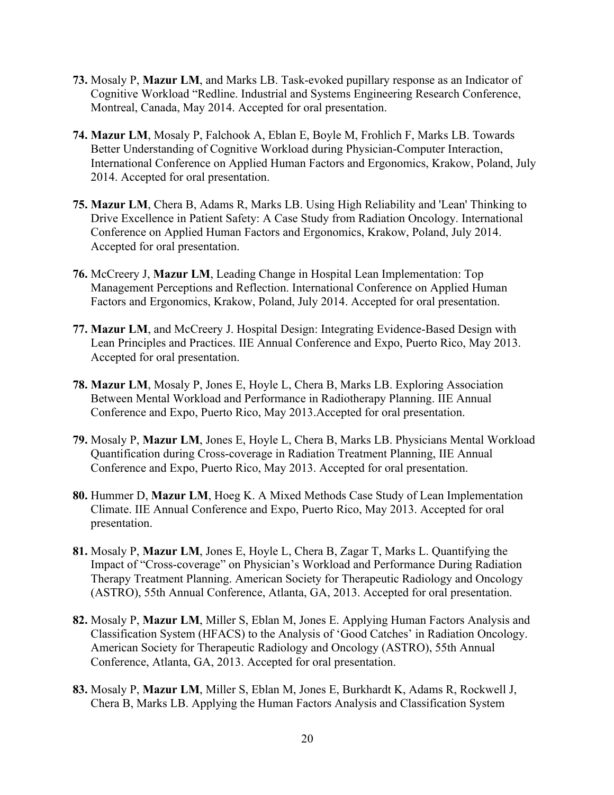- **73.** Mosaly P, **Mazur LM**, and Marks LB. Task-evoked pupillary response as an Indicator of Cognitive Workload "Redline. Industrial and Systems Engineering Research Conference, Montreal, Canada, May 2014. Accepted for oral presentation.
- **74. Mazur LM**, Mosaly P, Falchook A, Eblan E, Boyle M, Frohlich F, Marks LB. Towards Better Understanding of Cognitive Workload during Physician-Computer Interaction, International Conference on Applied Human Factors and Ergonomics, Krakow, Poland, July 2014. Accepted for oral presentation.
- **75. Mazur LM**, Chera B, Adams R, Marks LB. Using High Reliability and 'Lean' Thinking to Drive Excellence in Patient Safety: A Case Study from Radiation Oncology. International Conference on Applied Human Factors and Ergonomics, Krakow, Poland, July 2014. Accepted for oral presentation.
- **76.** McCreery J, **Mazur LM**, Leading Change in Hospital Lean Implementation: Top Management Perceptions and Reflection. International Conference on Applied Human Factors and Ergonomics, Krakow, Poland, July 2014. Accepted for oral presentation.
- **77. Mazur LM**, and McCreery J. Hospital Design: Integrating Evidence-Based Design with Lean Principles and Practices. IIE Annual Conference and Expo, Puerto Rico, May 2013. Accepted for oral presentation.
- **78. Mazur LM**, Mosaly P, Jones E, Hoyle L, Chera B, Marks LB. Exploring Association Between Mental Workload and Performance in Radiotherapy Planning. IIE Annual Conference and Expo, Puerto Rico, May 2013.Accepted for oral presentation.
- **79.** Mosaly P, **Mazur LM**, Jones E, Hoyle L, Chera B, Marks LB. Physicians Mental Workload Quantification during Cross-coverage in Radiation Treatment Planning, IIE Annual Conference and Expo, Puerto Rico, May 2013. Accepted for oral presentation.
- **80.** Hummer D, **Mazur LM**, Hoeg K. A Mixed Methods Case Study of Lean Implementation Climate. IIE Annual Conference and Expo, Puerto Rico, May 2013. Accepted for oral presentation.
- **81.** Mosaly P, **Mazur LM**, Jones E, Hoyle L, Chera B, Zagar T, Marks L. Quantifying the Impact of "Cross-coverage" on Physician's Workload and Performance During Radiation Therapy Treatment Planning. American Society for Therapeutic Radiology and Oncology (ASTRO), 55th Annual Conference, Atlanta, GA, 2013. Accepted for oral presentation.
- **82.** Mosaly P, **Mazur LM**, Miller S, Eblan M, Jones E. Applying Human Factors Analysis and Classification System (HFACS) to the Analysis of 'Good Catches' in Radiation Oncology. American Society for Therapeutic Radiology and Oncology (ASTRO), 55th Annual Conference, Atlanta, GA, 2013. Accepted for oral presentation.
- **83.** Mosaly P, **Mazur LM**, Miller S, Eblan M, Jones E, Burkhardt K, Adams R, Rockwell J, Chera B, Marks LB. Applying the Human Factors Analysis and Classification System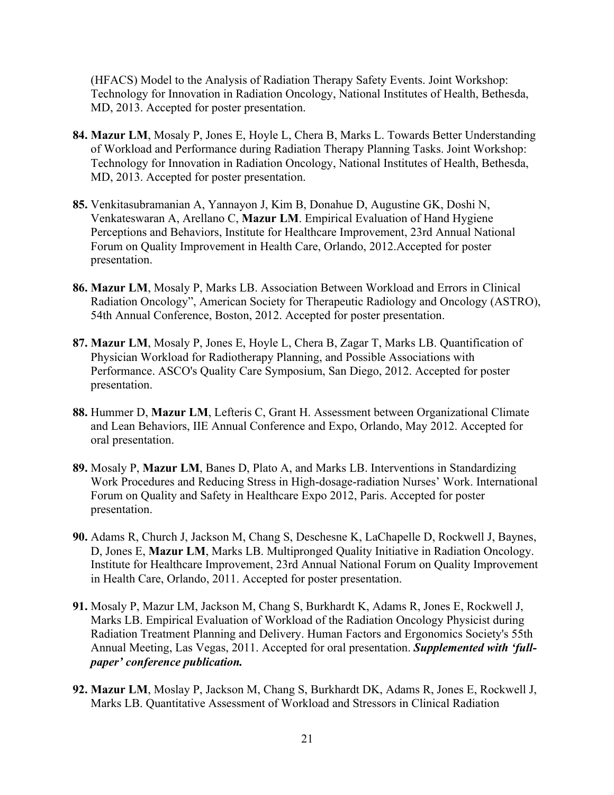(HFACS) Model to the Analysis of Radiation Therapy Safety Events. Joint Workshop: Technology for Innovation in Radiation Oncology, National Institutes of Health, Bethesda, MD, 2013. Accepted for poster presentation.

- **84. Mazur LM**, Mosaly P, Jones E, Hoyle L, Chera B, Marks L. Towards Better Understanding of Workload and Performance during Radiation Therapy Planning Tasks. Joint Workshop: Technology for Innovation in Radiation Oncology, National Institutes of Health, Bethesda, MD, 2013. Accepted for poster presentation.
- **85.** Venkitasubramanian A, Yannayon J, Kim B, Donahue D, Augustine GK, Doshi N, Venkateswaran A, Arellano C, **Mazur LM**. Empirical Evaluation of Hand Hygiene Perceptions and Behaviors, Institute for Healthcare Improvement, 23rd Annual National Forum on Quality Improvement in Health Care, Orlando, 2012.Accepted for poster presentation.
- **86. Mazur LM**, Mosaly P, Marks LB. Association Between Workload and Errors in Clinical Radiation Oncology", American Society for Therapeutic Radiology and Oncology (ASTRO), 54th Annual Conference, Boston, 2012. Accepted for poster presentation.
- **87. Mazur LM**, Mosaly P, Jones E, Hoyle L, Chera B, Zagar T, Marks LB. Quantification of Physician Workload for Radiotherapy Planning, and Possible Associations with Performance. ASCO's Quality Care Symposium, San Diego, 2012. Accepted for poster presentation.
- **88.** Hummer D, **Mazur LM**, Lefteris C, Grant H. Assessment between Organizational Climate and Lean Behaviors, IIE Annual Conference and Expo, Orlando, May 2012. Accepted for oral presentation.
- **89.** Mosaly P, **Mazur LM**, Banes D, Plato A, and Marks LB. Interventions in Standardizing Work Procedures and Reducing Stress in High-dosage-radiation Nurses' Work. International Forum on Quality and Safety in Healthcare Expo 2012, Paris. Accepted for poster presentation.
- **90.** Adams R, Church J, Jackson M, Chang S, Deschesne K, LaChapelle D, Rockwell J, Baynes, D, Jones E, **Mazur LM**, Marks LB. Multipronged Quality Initiative in Radiation Oncology. Institute for Healthcare Improvement, 23rd Annual National Forum on Quality Improvement in Health Care, Orlando, 2011. Accepted for poster presentation.
- **91.** Mosaly P, Mazur LM, Jackson M, Chang S, Burkhardt K, Adams R, Jones E, Rockwell J, Marks LB. Empirical Evaluation of Workload of the Radiation Oncology Physicist during Radiation Treatment Planning and Delivery. Human Factors and Ergonomics Society's 55th Annual Meeting, Las Vegas, 2011. Accepted for oral presentation. *Supplemented with 'fullpaper' conference publication.*
- **92. Mazur LM**, Moslay P, Jackson M, Chang S, Burkhardt DK, Adams R, Jones E, Rockwell J, Marks LB. Quantitative Assessment of Workload and Stressors in Clinical Radiation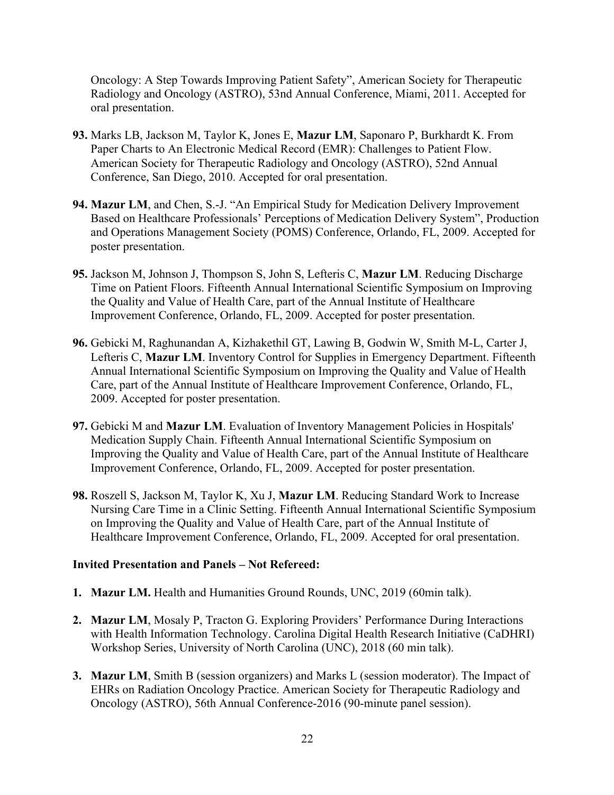Oncology: A Step Towards Improving Patient Safety", American Society for Therapeutic Radiology and Oncology (ASTRO), 53nd Annual Conference, Miami, 2011. Accepted for oral presentation.

- **93.** Marks LB, Jackson M, Taylor K, Jones E, **Mazur LM**, Saponaro P, Burkhardt K. From Paper Charts to An Electronic Medical Record (EMR): Challenges to Patient Flow. American Society for Therapeutic Radiology and Oncology (ASTRO), 52nd Annual Conference, San Diego, 2010. Accepted for oral presentation.
- **94. Mazur LM**, and Chen, S.-J. "An Empirical Study for Medication Delivery Improvement Based on Healthcare Professionals' Perceptions of Medication Delivery System", Production and Operations Management Society (POMS) Conference, Orlando, FL, 2009. Accepted for poster presentation.
- **95.** Jackson M, Johnson J, Thompson S, John S, Lefteris C, **Mazur LM**. Reducing Discharge Time on Patient Floors. Fifteenth Annual International Scientific Symposium on Improving the Quality and Value of Health Care, part of the Annual Institute of Healthcare Improvement Conference, Orlando, FL, 2009. Accepted for poster presentation.
- **96.** Gebicki M, Raghunandan A, Kizhakethil GT, Lawing B, Godwin W, Smith M-L, Carter J, Lefteris C, **Mazur LM**. Inventory Control for Supplies in Emergency Department. Fifteenth Annual International Scientific Symposium on Improving the Quality and Value of Health Care, part of the Annual Institute of Healthcare Improvement Conference, Orlando, FL, 2009. Accepted for poster presentation.
- **97.** Gebicki M and **Mazur LM**. Evaluation of Inventory Management Policies in Hospitals' Medication Supply Chain. Fifteenth Annual International Scientific Symposium on Improving the Quality and Value of Health Care, part of the Annual Institute of Healthcare Improvement Conference, Orlando, FL, 2009. Accepted for poster presentation.
- **98.** Roszell S, Jackson M, Taylor K, Xu J, **Mazur LM**. Reducing Standard Work to Increase Nursing Care Time in a Clinic Setting. Fifteenth Annual International Scientific Symposium on Improving the Quality and Value of Health Care, part of the Annual Institute of Healthcare Improvement Conference, Orlando, FL, 2009. Accepted for oral presentation.

#### **Invited Presentation and Panels – Not Refereed:**

- **1. Mazur LM.** Health and Humanities Ground Rounds, UNC, 2019 (60min talk).
- **2. Mazur LM**, Mosaly P, Tracton G. Exploring Providers' Performance During Interactions with Health Information Technology. Carolina Digital Health Research Initiative (CaDHRI) Workshop Series, University of North Carolina (UNC), 2018 (60 min talk).
- **3. Mazur LM**, Smith B (session organizers) and Marks L (session moderator). The Impact of EHRs on Radiation Oncology Practice. American Society for Therapeutic Radiology and Oncology (ASTRO), 56th Annual Conference-2016 (90-minute panel session).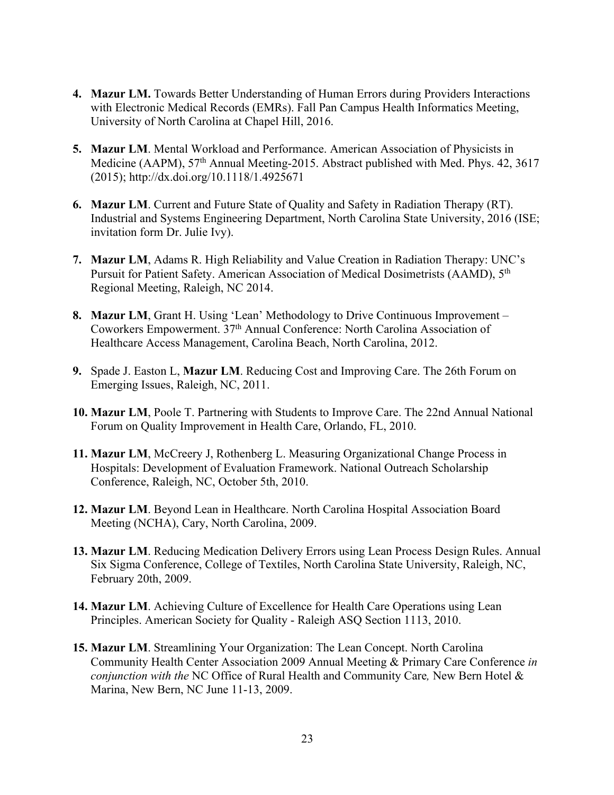- **4. Mazur LM.** Towards Better Understanding of Human Errors during Providers Interactions with Electronic Medical Records (EMRs). Fall Pan Campus Health Informatics Meeting, University of North Carolina at Chapel Hill, 2016.
- **5. Mazur LM**. Mental Workload and Performance. American Association of Physicists in Medicine (AAPM), 57<sup>th</sup> Annual Meeting-2015. Abstract published with Med. Phys. 42, 3617 (2015); http://dx.doi.org/10.1118/1.4925671
- **6. Mazur LM**. Current and Future State of Quality and Safety in Radiation Therapy (RT). Industrial and Systems Engineering Department, North Carolina State University, 2016 (ISE; invitation form Dr. Julie Ivy).
- **7. Mazur LM**, Adams R. High Reliability and Value Creation in Radiation Therapy: UNC's Pursuit for Patient Safety. American Association of Medical Dosimetrists (AAMD), 5<sup>th</sup> Regional Meeting, Raleigh, NC 2014.
- **8. Mazur LM**, Grant H. Using 'Lean' Methodology to Drive Continuous Improvement Coworkers Empowerment. 37th Annual Conference: North Carolina Association of Healthcare Access Management, Carolina Beach, North Carolina, 2012.
- **9.** Spade J. Easton L, **Mazur LM**. Reducing Cost and Improving Care. The 26th Forum on Emerging Issues, Raleigh, NC, 2011.
- **10. Mazur LM**, Poole T. Partnering with Students to Improve Care. The 22nd Annual National Forum on Quality Improvement in Health Care, Orlando, FL, 2010.
- **11. Mazur LM**, McCreery J, Rothenberg L. Measuring Organizational Change Process in Hospitals: Development of Evaluation Framework. National Outreach Scholarship Conference, Raleigh, NC, October 5th, 2010.
- **12. Mazur LM**. Beyond Lean in Healthcare. North Carolina Hospital Association Board Meeting (NCHA), Cary, North Carolina, 2009.
- **13. Mazur LM**. Reducing Medication Delivery Errors using Lean Process Design Rules. Annual Six Sigma Conference, College of Textiles, North Carolina State University, Raleigh, NC, February 20th, 2009.
- **14. Mazur LM**. Achieving Culture of Excellence for Health Care Operations using Lean Principles. American Society for Quality - Raleigh ASQ Section 1113, 2010.
- **15. Mazur LM**. Streamlining Your Organization: The Lean Concept. North Carolina Community Health Center Association 2009 Annual Meeting & Primary Care Conference *in conjunction with the* NC Office of Rural Health and Community Care*,* New Bern Hotel & Marina, New Bern, NC June 11-13, 2009.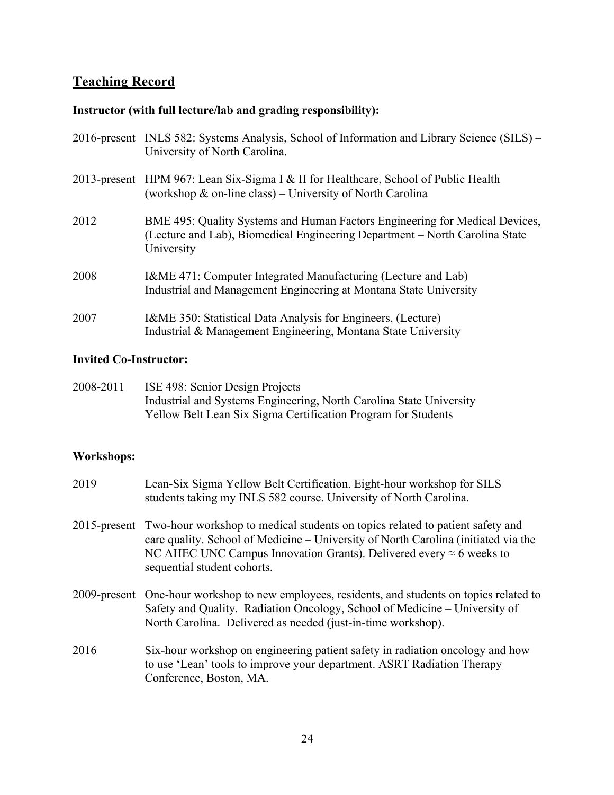# **Teaching Record**

# **Instructor (with full lecture/lab and grading responsibility):**

|      | 2016-present INLS 582: Systems Analysis, School of Information and Library Science (SILS) –<br>University of North Carolina.                                             |
|------|--------------------------------------------------------------------------------------------------------------------------------------------------------------------------|
|      | 2013-present HPM 967: Lean Six-Sigma I & II for Healthcare, School of Public Health<br>(workshop $\&$ on-line class) – University of North Carolina                      |
| 2012 | BME 495: Quality Systems and Human Factors Engineering for Medical Devices,<br>(Lecture and Lab), Biomedical Engineering Department – North Carolina State<br>University |
| 2008 | I&ME 471: Computer Integrated Manufacturing (Lecture and Lab)<br>Industrial and Management Engineering at Montana State University                                       |
| 2007 | I&ME 350: Statistical Data Analysis for Engineers, (Lecture)<br>Industrial & Management Engineering, Montana State University                                            |

# **Invited Co-Instructor:**

| 2008-2011 | ISE 498: Senior Design Projects                                     |
|-----------|---------------------------------------------------------------------|
|           | Industrial and Systems Engineering, North Carolina State University |
|           | Yellow Belt Lean Six Sigma Certification Program for Students       |

# **Workshops:**

| 2019 | Lean-Six Sigma Yellow Belt Certification. Eight-hour workshop for SILS<br>students taking my INLS 582 course. University of North Carolina.                                                                                                                                                    |
|------|------------------------------------------------------------------------------------------------------------------------------------------------------------------------------------------------------------------------------------------------------------------------------------------------|
|      | 2015-present Two-hour workshop to medical students on topics related to patient safety and<br>care quality. School of Medicine – University of North Carolina (initiated via the<br>NC AHEC UNC Campus Innovation Grants). Delivered every $\approx$ 6 weeks to<br>sequential student cohorts. |
|      | 2009-present One-hour workshop to new employees, residents, and students on topics related to<br>Safety and Quality. Radiation Oncology, School of Medicine - University of<br>North Carolina. Delivered as needed (just-in-time workshop).                                                    |
| 2016 | Six-hour workshop on engineering patient safety in radiation oncology and how<br>to use 'Lean' tools to improve your department. ASRT Radiation Therapy<br>Conference, Boston, MA.                                                                                                             |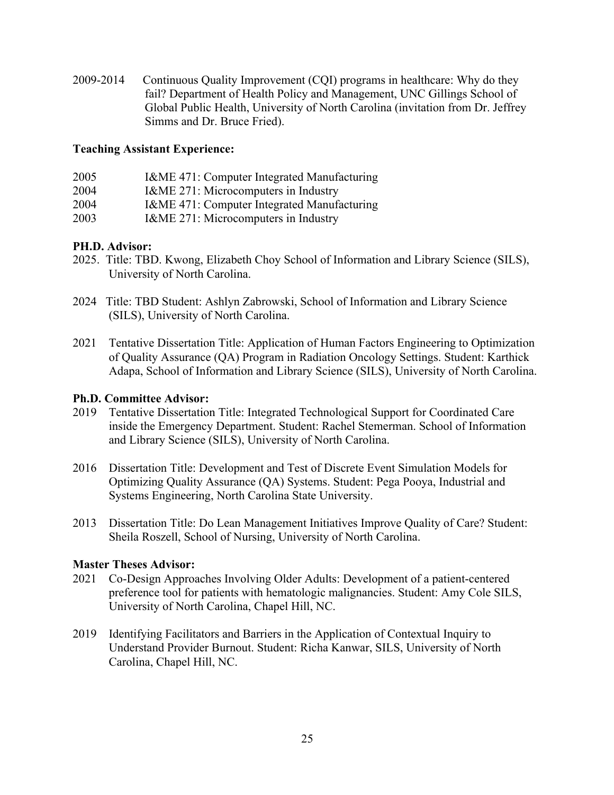2009-2014 Continuous Quality Improvement (CQI) programs in healthcare: Why do they fail? Department of Health Policy and Management, UNC Gillings School of Global Public Health, University of North Carolina (invitation from Dr. Jeffrey Simms and Dr. Bruce Fried).

#### **Teaching Assistant Experience:**

| 2005 | I&ME 471: Computer Integrated Manufacturing |
|------|---------------------------------------------|
| 2004 | I&ME 271: Microcomputers in Industry        |
| 2004 | I&ME 471: Computer Integrated Manufacturing |
| 2003 | I&ME 271: Microcomputers in Industry        |

### **PH.D. Advisor:**

- 2025. Title: TBD. Kwong, Elizabeth Choy School of Information and Library Science (SILS), University of North Carolina.
- 2024 Title: TBD Student: Ashlyn Zabrowski, School of Information and Library Science (SILS), University of North Carolina.
- 2021 Tentative Dissertation Title: Application of Human Factors Engineering to Optimization of Quality Assurance (QA) Program in Radiation Oncology Settings. Student: Karthick Adapa, School of Information and Library Science (SILS), University of North Carolina.

#### **Ph.D. Committee Advisor:**

- 2019 Tentative Dissertation Title: Integrated Technological Support for Coordinated Care inside the Emergency Department. Student: Rachel Stemerman. School of Information and Library Science (SILS), University of North Carolina.
- 2016 Dissertation Title: Development and Test of Discrete Event Simulation Models for Optimizing Quality Assurance (QA) Systems. Student: Pega Pooya, Industrial and Systems Engineering, North Carolina State University.
- 2013 Dissertation Title: Do Lean Management Initiatives Improve Quality of Care? Student: Sheila Roszell, School of Nursing, University of North Carolina.

#### **Master Theses Advisor:**

- 2021 Co-Design Approaches Involving Older Adults: Development of a patient-centered preference tool for patients with hematologic malignancies. Student: Amy Cole SILS, University of North Carolina, Chapel Hill, NC.
- 2019 Identifying Facilitators and Barriers in the Application of Contextual Inquiry to Understand Provider Burnout. Student: Richa Kanwar, SILS, University of North Carolina, Chapel Hill, NC.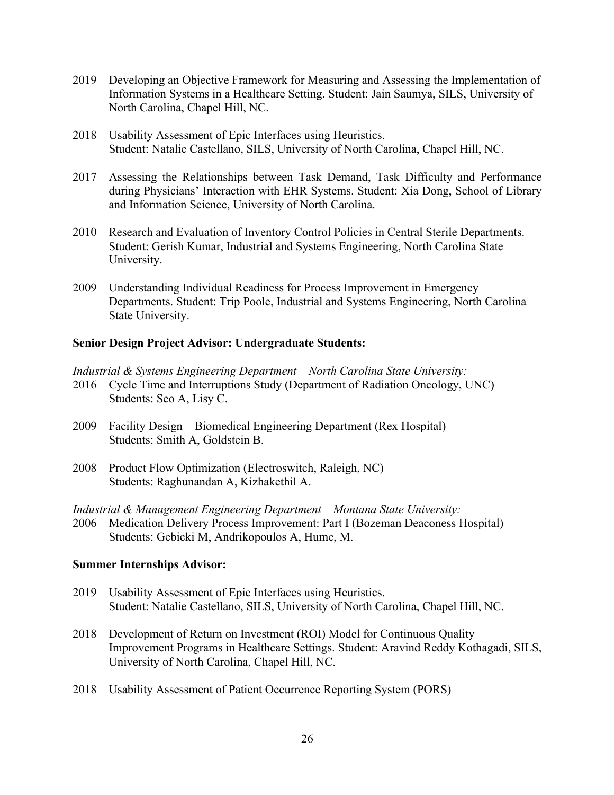- 2019 Developing an Objective Framework for Measuring and Assessing the Implementation of Information Systems in a Healthcare Setting. Student: Jain Saumya, SILS, University of North Carolina, Chapel Hill, NC.
- 2018 Usability Assessment of Epic Interfaces using Heuristics. Student: Natalie Castellano, SILS, University of North Carolina, Chapel Hill, NC.
- 2017 Assessing the Relationships between Task Demand, Task Difficulty and Performance during Physicians' Interaction with EHR Systems. Student: Xia Dong, School of Library and Information Science, University of North Carolina.
- 2010 Research and Evaluation of Inventory Control Policies in Central Sterile Departments. Student: Gerish Kumar, Industrial and Systems Engineering, North Carolina State University.
- 2009 Understanding Individual Readiness for Process Improvement in Emergency Departments. Student: Trip Poole, Industrial and Systems Engineering, North Carolina State University.

#### **Senior Design Project Advisor: Undergraduate Students:**

*Industrial & Systems Engineering Department – North Carolina State University:*

- 2016 Cycle Time and Interruptions Study (Department of Radiation Oncology, UNC) Students: Seo A, Lisy C.
- 2009 Facility Design Biomedical Engineering Department (Rex Hospital) Students: Smith A, Goldstein B.
- 2008 Product Flow Optimization (Electroswitch, Raleigh, NC) Students: Raghunandan A, Kizhakethil A.

*Industrial & Management Engineering Department – Montana State University:*

2006 Medication Delivery Process Improvement: Part I (Bozeman Deaconess Hospital) Students: Gebicki M, Andrikopoulos A, Hume, M.

#### **Summer Internships Advisor:**

- 2019 Usability Assessment of Epic Interfaces using Heuristics. Student: Natalie Castellano, SILS, University of North Carolina, Chapel Hill, NC.
- 2018 Development of Return on Investment (ROI) Model for Continuous Quality Improvement Programs in Healthcare Settings. Student: Aravind Reddy Kothagadi, SILS, University of North Carolina, Chapel Hill, NC.
- 2018 Usability Assessment of Patient Occurrence Reporting System (PORS)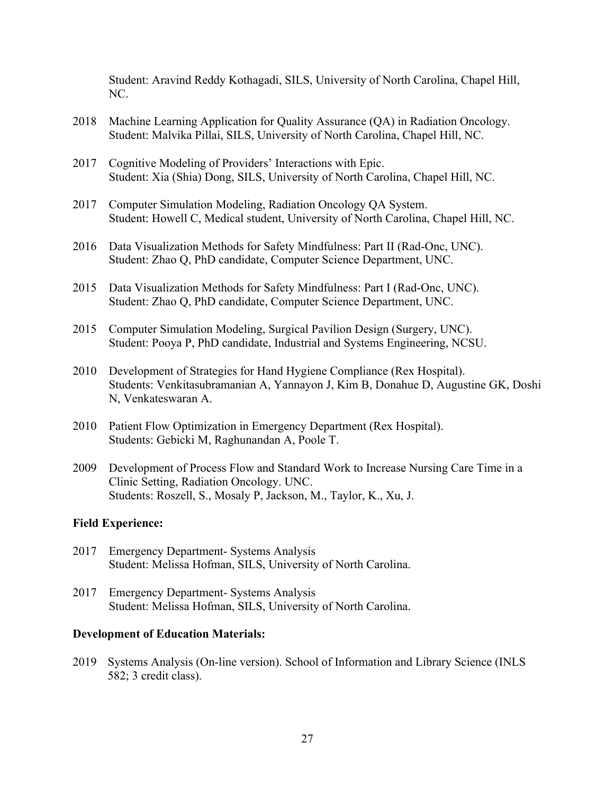Student: Aravind Reddy Kothagadi, SILS, University of North Carolina, Chapel Hill, NC.

- 2018 Machine Learning Application for Quality Assurance (QA) in Radiation Oncology. Student: Malvika Pillai, SILS, University of North Carolina, Chapel Hill, NC.
- 2017 Cognitive Modeling of Providers' Interactions with Epic. Student: Xia (Shia) Dong, SILS, University of North Carolina, Chapel Hill, NC.
- 2017 Computer Simulation Modeling, Radiation Oncology QA System. Student: Howell C, Medical student, University of North Carolina, Chapel Hill, NC.
- 2016 Data Visualization Methods for Safety Mindfulness: Part II (Rad-Onc, UNC). Student: Zhao Q, PhD candidate, Computer Science Department, UNC.
- 2015 Data Visualization Methods for Safety Mindfulness: Part I (Rad-Onc, UNC). Student: Zhao Q, PhD candidate, Computer Science Department, UNC.
- 2015 Computer Simulation Modeling, Surgical Pavilion Design (Surgery, UNC). Student: Pooya P, PhD candidate, Industrial and Systems Engineering, NCSU.
- 2010 Development of Strategies for Hand Hygiene Compliance (Rex Hospital). Students: Venkitasubramanian A, Yannayon J, Kim B, Donahue D, Augustine GK, Doshi N, Venkateswaran A.
- 2010 Patient Flow Optimization in Emergency Department (Rex Hospital). Students: Gebicki M, Raghunandan A, Poole T.
- 2009 Development of Process Flow and Standard Work to Increase Nursing Care Time in a Clinic Setting, Radiation Oncology. UNC. Students: Roszell, S., Mosaly P, Jackson, M., Taylor, K., Xu, J.

#### **Field Experience:**

- 2017 Emergency Department- Systems Analysis Student: Melissa Hofman, SILS, University of North Carolina.
- 2017 Emergency Department- Systems Analysis Student: Melissa Hofman, SILS, University of North Carolina.

#### **Development of Education Materials:**

2019 Systems Analysis (On-line version). School of Information and Library Science (INLS 582; 3 credit class).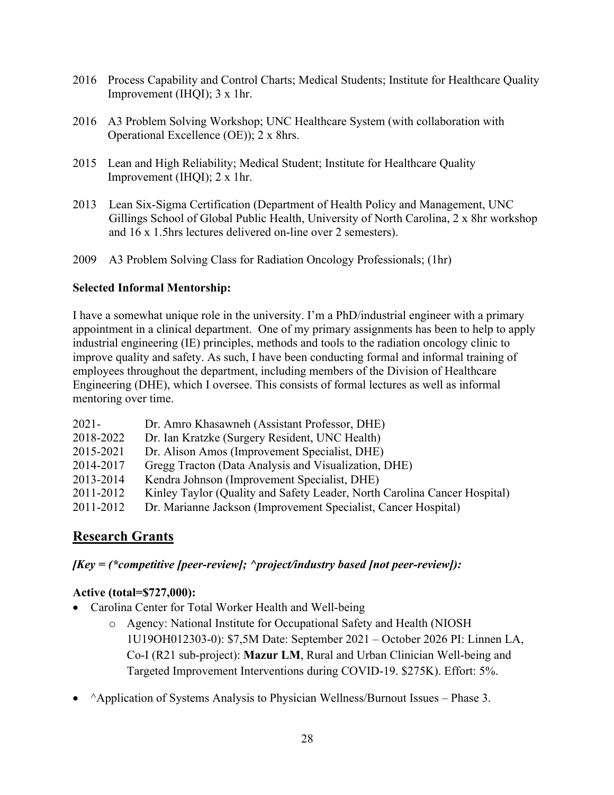- 2016 Process Capability and Control Charts; Medical Students; Institute for Healthcare Quality Improvement (IHQI); 3 x 1hr.
- 2016 A3 Problem Solving Workshop; UNC Healthcare System (with collaboration with Operational Excellence (OE)); 2 x 8hrs.
- 2015 Lean and High Reliability; Medical Student; Institute for Healthcare Quality Improvement (IHQI); 2 x 1hr.
- 2013 Lean Six-Sigma Certification (Department of Health Policy and Management, UNC Gillings School of Global Public Health, University of North Carolina, 2 x 8hr workshop and 16 x 1.5hrs lectures delivered on-line over 2 semesters).
- 2009 A3 Problem Solving Class for Radiation Oncology Professionals; (1hr)

### **Selected Informal Mentorship:**

I have a somewhat unique role in the university. I'm a PhD/industrial engineer with a primary appointment in a clinical department. One of my primary assignments has been to help to apply industrial engineering (IE) principles, methods and tools to the radiation oncology clinic to improve quality and safety. As such, I have been conducting formal and informal training of employees throughout the department, including members of the Division of Healthcare Engineering (DHE), which I oversee. This consists of formal lectures as well as informal mentoring over time.

| $2021 -$  | Dr. Amro Khasawneh (Assistant Professor, DHE)                             |
|-----------|---------------------------------------------------------------------------|
| 2018-2022 | Dr. Ian Kratzke (Surgery Resident, UNC Health)                            |
| 2015-2021 | Dr. Alison Amos (Improvement Specialist, DHE)                             |
| 2014-2017 | Gregg Tracton (Data Analysis and Visualization, DHE)                      |
| 2013-2014 | Kendra Johnson (Improvement Specialist, DHE)                              |
| 2011-2012 | Kinley Taylor (Quality and Safety Leader, North Carolina Cancer Hospital) |
| 2011-2012 | Dr. Marianne Jackson (Improvement Specialist, Cancer Hospital)            |

# **Research Grants**

# *[Key = (\*competitive [peer-review]; ^project/industry based [not peer-review]):*

# **Active (total=\$727,000):**

- Carolina Center for Total Worker Health and Well-being
	- o Agency: National Institute for Occupational Safety and Health (NIOSH 1U19OH012303-0): \$7,5M Date: September 2021 – October 2026 PI: Linnen LA, Co-I (R21 sub-project): **Mazur LM**, Rural and Urban Clinician Well-being and Targeted Improvement Interventions during COVID-19. \$275K). Effort: 5%.
- ^Application of Systems Analysis to Physician Wellness/Burnout Issues Phase 3.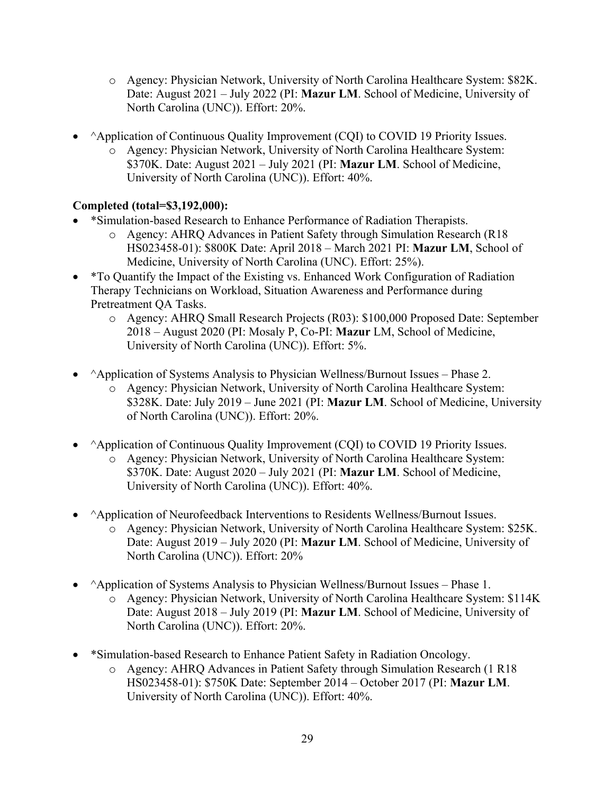- o Agency: Physician Network, University of North Carolina Healthcare System: \$82K. Date: August 2021 – July 2022 (PI: **Mazur LM**. School of Medicine, University of North Carolina (UNC)). Effort: 20%.
- ^Application of Continuous Quality Improvement (CQI) to COVID 19 Priority Issues.
	- o Agency: Physician Network, University of North Carolina Healthcare System: \$370K. Date: August 2021 – July 2021 (PI: **Mazur LM**. School of Medicine, University of North Carolina (UNC)). Effort: 40%.

# **Completed (total=\$3,192,000):**

- \*Simulation-based Research to Enhance Performance of Radiation Therapists.
	- o Agency: AHRQ Advances in Patient Safety through Simulation Research (R18 HS023458-01): \$800K Date: April 2018 – March 2021 PI: **Mazur LM**, School of Medicine, University of North Carolina (UNC). Effort: 25%).
- \* To Quantify the Impact of the Existing vs. Enhanced Work Configuration of Radiation Therapy Technicians on Workload, Situation Awareness and Performance during Pretreatment QA Tasks.
	- o Agency: AHRQ Small Research Projects (R03): \$100,000 Proposed Date: September 2018 – August 2020 (PI: Mosaly P, Co-PI: **Mazur** LM, School of Medicine, University of North Carolina (UNC)). Effort: 5%.
- ^Application of Systems Analysis to Physician Wellness/Burnout Issues Phase 2.
	- o Agency: Physician Network, University of North Carolina Healthcare System: \$328K. Date: July 2019 – June 2021 (PI: **Mazur LM**. School of Medicine, University of North Carolina (UNC)). Effort: 20%.
- ^Application of Continuous Quality Improvement (CQI) to COVID 19 Priority Issues. o Agency: Physician Network, University of North Carolina Healthcare System: \$370K. Date: August 2020 – July 2021 (PI: **Mazur LM**. School of Medicine, University of North Carolina (UNC)). Effort: 40%.
- ^Application of Neurofeedback Interventions to Residents Wellness/Burnout Issues.
	- o Agency: Physician Network, University of North Carolina Healthcare System: \$25K. Date: August 2019 – July 2020 (PI: **Mazur LM**. School of Medicine, University of North Carolina (UNC)). Effort: 20%
- ^Application of Systems Analysis to Physician Wellness/Burnout Issues Phase 1. o Agency: Physician Network, University of North Carolina Healthcare System: \$114K Date: August 2018 – July 2019 (PI: **Mazur LM**. School of Medicine, University of North Carolina (UNC)). Effort: 20%.
- \*Simulation-based Research to Enhance Patient Safety in Radiation Oncology.
	- o Agency: AHRQ Advances in Patient Safety through Simulation Research (1 R18 HS023458-01): \$750K Date: September 2014 – October 2017 (PI: **Mazur LM**. University of North Carolina (UNC)). Effort: 40%.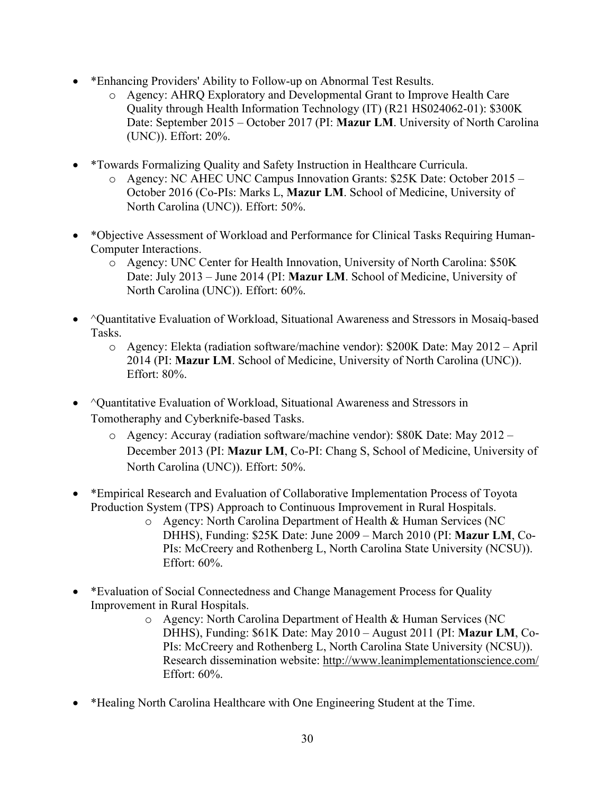- \*Enhancing Providers' Ability to Follow-up on Abnormal Test Results.
	- o Agency: AHRQ Exploratory and Developmental Grant to Improve Health Care Quality through Health Information Technology (IT) (R21 HS024062-01): \$300K Date: September 2015 – October 2017 (PI: **Mazur LM**. University of North Carolina (UNC)). Effort: 20%.
- \*Towards Formalizing Quality and Safety Instruction in Healthcare Curricula.
	- o Agency: NC AHEC UNC Campus Innovation Grants: \$25K Date: October 2015 October 2016 (Co-PIs: Marks L, **Mazur LM**. School of Medicine, University of North Carolina (UNC)). Effort: 50%.
- \*Objective Assessment of Workload and Performance for Clinical Tasks Requiring Human-Computer Interactions.
	- o Agency: UNC Center for Health Innovation, University of North Carolina: \$50K Date: July 2013 – June 2014 (PI: **Mazur LM**. School of Medicine, University of North Carolina (UNC)). Effort: 60%.
- ^Quantitative Evaluation of Workload, Situational Awareness and Stressors in Mosaiq-based Tasks.
	- o Agency: Elekta (radiation software/machine vendor): \$200K Date: May 2012 April 2014 (PI: **Mazur LM**. School of Medicine, University of North Carolina (UNC)). Effort: 80%.
- ^Quantitative Evaluation of Workload, Situational Awareness and Stressors in Tomotheraphy and Cyberknife-based Tasks.
	- o Agency: Accuray (radiation software/machine vendor): \$80K Date: May 2012 December 2013 (PI: **Mazur LM**, Co-PI: Chang S, School of Medicine, University of North Carolina (UNC)). Effort: 50%.
- \*Empirical Research and Evaluation of Collaborative Implementation Process of Toyota Production System (TPS) Approach to Continuous Improvement in Rural Hospitals.
	- o Agency: North Carolina Department of Health & Human Services (NC DHHS), Funding: \$25K Date: June 2009 – March 2010 (PI: **Mazur LM**, Co-PIs: McCreery and Rothenberg L, North Carolina State University (NCSU)). Effort: 60%.
- \*Evaluation of Social Connectedness and Change Management Process for Quality Improvement in Rural Hospitals.
	- o Agency: North Carolina Department of Health & Human Services (NC DHHS), Funding: \$61K Date: May 2010 – August 2011 (PI: **Mazur LM**, Co-PIs: McCreery and Rothenberg L, North Carolina State University (NCSU)). Research dissemination website: http://www.leanimplementationscience.com/ Effort: 60%.
- \*Healing North Carolina Healthcare with One Engineering Student at the Time.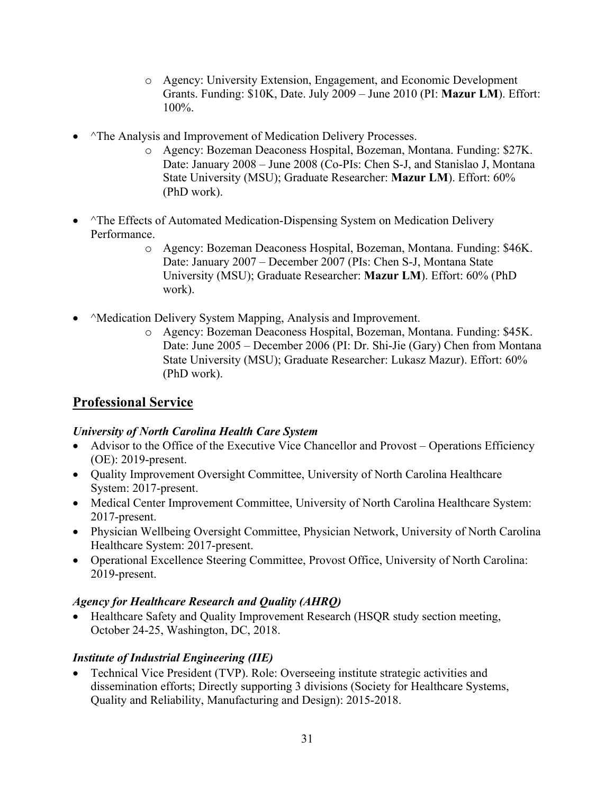- o Agency: University Extension, Engagement, and Economic Development Grants. Funding: \$10K, Date. July 2009 – June 2010 (PI: **Mazur LM**). Effort: 100%.
- ^The Analysis and Improvement of Medication Delivery Processes.
	- o Agency: Bozeman Deaconess Hospital, Bozeman, Montana. Funding: \$27K. Date: January 2008 – June 2008 (Co-PIs: Chen S-J, and Stanislao J, Montana State University (MSU); Graduate Researcher: **Mazur LM**). Effort: 60% (PhD work).
- ^The Effects of Automated Medication-Dispensing System on Medication Delivery Performance.
	- o Agency: Bozeman Deaconess Hospital, Bozeman, Montana. Funding: \$46K. Date: January 2007 – December 2007 (PIs: Chen S-J, Montana State University (MSU); Graduate Researcher: **Mazur LM**). Effort: 60% (PhD work).
- ^Medication Delivery System Mapping, Analysis and Improvement.
	- o Agency: Bozeman Deaconess Hospital, Bozeman, Montana. Funding: \$45K. Date: June 2005 – December 2006 (PI: Dr. Shi-Jie (Gary) Chen from Montana State University (MSU); Graduate Researcher: Lukasz Mazur). Effort: 60% (PhD work).

# **Professional Service**

### *University of North Carolina Health Care System*

- Advisor to the Office of the Executive Vice Chancellor and Provost Operations Efficiency (OE): 2019-present.
- Quality Improvement Oversight Committee, University of North Carolina Healthcare System: 2017-present.
- Medical Center Improvement Committee, University of North Carolina Healthcare System: 2017-present.
- Physician Wellbeing Oversight Committee, Physician Network, University of North Carolina Healthcare System: 2017-present.
- Operational Excellence Steering Committee, Provost Office, University of North Carolina: 2019-present.

# *Agency for Healthcare Research and Quality (AHRQ)*

• Healthcare Safety and Quality Improvement Research (HSQR study section meeting, October 24-25, Washington, DC, 2018.

# *Institute of Industrial Engineering (IIE)*

• Technical Vice President (TVP). Role: Overseeing institute strategic activities and dissemination efforts; Directly supporting 3 divisions (Society for Healthcare Systems, Quality and Reliability, Manufacturing and Design): 2015-2018.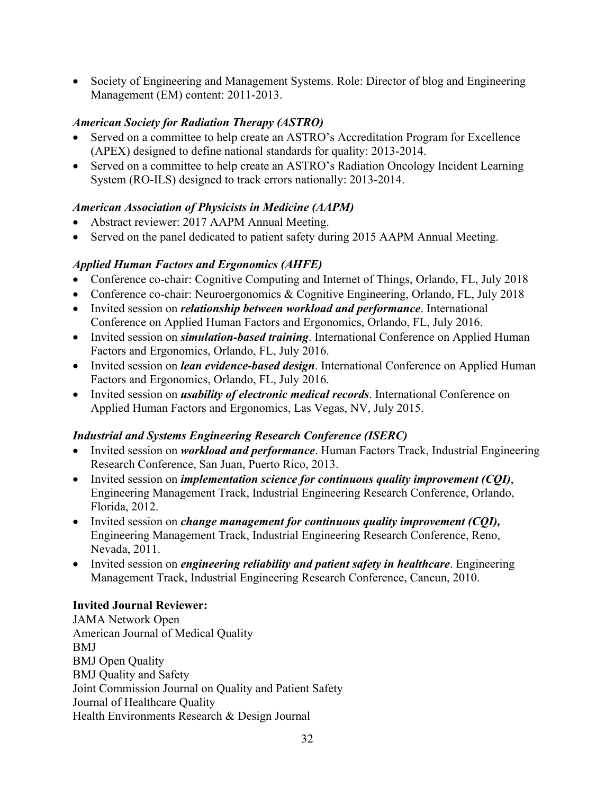• Society of Engineering and Management Systems. Role: Director of blog and Engineering Management (EM) content: 2011-2013.

### *American Society for Radiation Therapy (ASTRO)*

- Served on a committee to help create an ASTRO's Accreditation Program for Excellence (APEX) designed to define national standards for quality: 2013-2014.
- Served on a committee to help create an ASTRO's Radiation Oncology Incident Learning System (RO-ILS) designed to track errors nationally: 2013-2014.

# *American Association of Physicists in Medicine (AAPM)*

- Abstract reviewer: 2017 AAPM Annual Meeting.
- Served on the panel dedicated to patient safety during 2015 AAPM Annual Meeting.

# *Applied Human Factors and Ergonomics (AHFE)*

- Conference co-chair: Cognitive Computing and Internet of Things, Orlando, FL, July 2018
- Conference co-chair: Neuroergonomics & Cognitive Engineering, Orlando, FL, July 2018
- Invited session on *relationship between workload and performance*. International Conference on Applied Human Factors and Ergonomics, Orlando, FL, July 2016.
- Invited session on *simulation-based training*. International Conference on Applied Human Factors and Ergonomics, Orlando, FL, July 2016.
- Invited session on *lean evidence-based design*. International Conference on Applied Human Factors and Ergonomics, Orlando, FL, July 2016.
- Invited session on *usability of electronic medical records*. International Conference on Applied Human Factors and Ergonomics, Las Vegas, NV, July 2015.

# *Industrial and Systems Engineering Research Conference (ISERC)*

- Invited session on *workload and performance*. Human Factors Track, Industrial Engineering Research Conference, San Juan, Puerto Rico, 2013.
- Invited session on *implementation science for continuous quality improvement (CQI)*, Engineering Management Track, Industrial Engineering Research Conference, Orlando, Florida, 2012.
- Invited session on *change management for continuous quality improvement (CQI),* Engineering Management Track, Industrial Engineering Research Conference, Reno, Nevada, 2011.
- Invited session on *engineering reliability and patient safety in healthcare*. Engineering Management Track, Industrial Engineering Research Conference, Cancun, 2010.

### **Invited Journal Reviewer:**

JAMA Network Open American Journal of Medical Quality BMJ BMJ Open Quality BMJ Quality and Safety Joint Commission Journal on Quality and Patient Safety Journal of Healthcare Quality Health Environments Research & Design Journal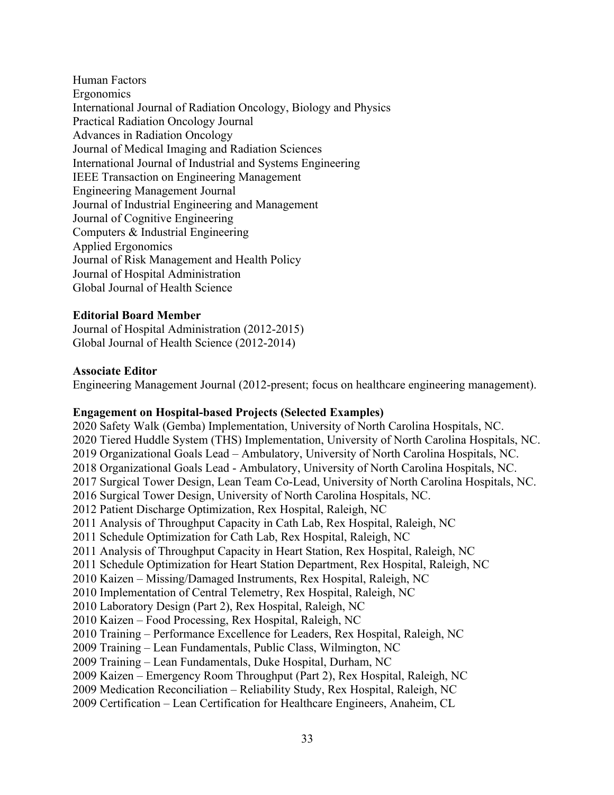Human Factors Ergonomics International Journal of Radiation Oncology, Biology and Physics Practical Radiation Oncology Journal Advances in Radiation Oncology Journal of Medical Imaging and Radiation Sciences International Journal of Industrial and Systems Engineering IEEE Transaction on Engineering Management Engineering Management Journal Journal of Industrial Engineering and Management Journal of Cognitive Engineering Computers & Industrial Engineering Applied Ergonomics Journal of Risk Management and Health Policy Journal of Hospital Administration Global Journal of Health Science

#### **Editorial Board Member**

Journal of Hospital Administration (2012-2015) Global Journal of Health Science (2012-2014)

#### **Associate Editor**

Engineering Management Journal (2012-present; focus on healthcare engineering management).

#### **Engagement on Hospital-based Projects (Selected Examples)**

2020 Safety Walk (Gemba) Implementation, University of North Carolina Hospitals, NC. 2020 Tiered Huddle System (THS) Implementation, University of North Carolina Hospitals, NC. 2019 Organizational Goals Lead – Ambulatory, University of North Carolina Hospitals, NC. 2018 Organizational Goals Lead - Ambulatory, University of North Carolina Hospitals, NC. 2017 Surgical Tower Design, Lean Team Co-Lead, University of North Carolina Hospitals, NC. 2016 Surgical Tower Design, University of North Carolina Hospitals, NC. 2012 Patient Discharge Optimization, Rex Hospital, Raleigh, NC 2011 Analysis of Throughput Capacity in Cath Lab, Rex Hospital, Raleigh, NC 2011 Schedule Optimization for Cath Lab, Rex Hospital, Raleigh, NC 2011 Analysis of Throughput Capacity in Heart Station, Rex Hospital, Raleigh, NC 2011 Schedule Optimization for Heart Station Department, Rex Hospital, Raleigh, NC 2010 Kaizen – Missing/Damaged Instruments, Rex Hospital, Raleigh, NC 2010 Implementation of Central Telemetry, Rex Hospital, Raleigh, NC 2010 Laboratory Design (Part 2), Rex Hospital, Raleigh, NC 2010 Kaizen – Food Processing, Rex Hospital, Raleigh, NC 2010 Training – Performance Excellence for Leaders, Rex Hospital, Raleigh, NC 2009 Training – Lean Fundamentals, Public Class, Wilmington, NC 2009 Training – Lean Fundamentals, Duke Hospital, Durham, NC 2009 Kaizen – Emergency Room Throughput (Part 2), Rex Hospital, Raleigh, NC 2009 Medication Reconciliation – Reliability Study, Rex Hospital, Raleigh, NC 2009 Certification – Lean Certification for Healthcare Engineers, Anaheim, CL